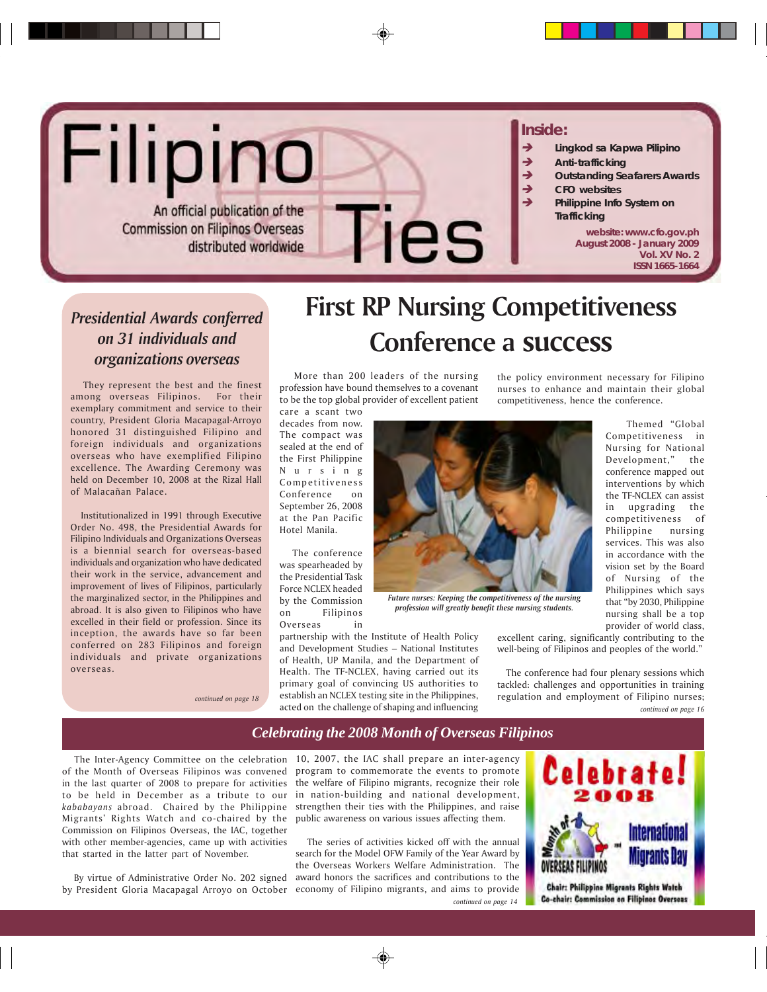# Filipino

An official publication of the **Commission on Filipinos Overseas** distributed worldwide

#### **Inside:**

- Î *Lingkod sa Kapwa Pilipino*
- Î *Anti-trafficking*
- Î *Outstanding Seafarers Awards*
- Î *CFO websites*
	- Î *Philippine Info System on Trafficking*

**website: www.cfo.gov.ph August 2008 - January 2009 Vol. XV No. 2 ISSN 1665-1664**

### *Presidential Awards conferred on 31 individuals and organizations overseas*

 They represent the best and the finest among overseas Filipinos. For their exemplary commitment and service to their country, President Gloria Macapagal-Arroyo honored 31 distinguished Filipino and foreign individuals and organizations overseas who have exemplified Filipino excellence*.* The Awarding Ceremony was held on December 10, 2008 at the Rizal Hall of Malacañan Palace.

 Institutionalized in 1991 through Executive Order No. 498, the Presidential Awards for Filipino Individuals and Organizations Overseas is a biennial search for overseas-based individuals and organization who have dedicated their work in the service, advancement and improvement of lives of Filipinos, particularly the marginalized sector, in the Philippines and abroad. It is also given to Filipinos who have excelled in their field or profession. Since its inception, the awards have so far been conferred on 283 Filipinos and foreign individuals and private organizations overseas.

*continued on page 18*

# **First RP Nursing Competitiveness Conference a success**

 More than 200 leaders of the nursing profession have bound themselves to a covenant to be the top global provider of excellent patient

Pies

care a scant two decades from now. The compact was sealed at the end of the First Philippine Nursing Competitiveness Conference on September 26, 2008 at the Pan Pacific Hotel Manila.

 The conference was spearheaded by the Presidential Task Force NCLEX headed by the Commission on Filipinos Overseas in



*Future nurses: Keeping the competitiveness of the nursing profession will greatly benefit these nursing students.*

partnership with the Institute of Health Policy and Development Studies – National Institutes of Health, UP Manila, and the Department of Health. The TF-NCLEX, having carried out its primary goal of convincing US authorities to

the policy environment necessary for Filipino nurses to enhance and maintain their global competitiveness, hence the conference.

> Themed "Global Competitiveness in Nursing for National Development," the conference mapped out interventions by which the TF-NCLEX can assist in upgrading the competitiveness of Philippine nursing services. This was also in accordance with the vision set by the Board of Nursing of the Philippines which says that "by 2030, Philippine nursing shall be a top provider of world class,

excellent caring, significantly contributing to the well-being of Filipinos and peoples of the world."

 The conference had four plenary sessions which tackled: challenges and opportunities in training regulation and employment of Filipino nurses; *continued on page 16*

### *Celebrating the 2008 Month of Overseas Filipinos*

establish an NCLEX testing site in the Philippines, acted on the challenge of shaping and influencing

 The Inter-Agency Committee on the celebration 10, 2007, the IAC shall prepare an inter-agency of the Month of Overseas Filipinos was convened in the last quarter of 2008 to prepare for activities to be held in December as a tribute to our *kababayans* abroad. Chaired by the Philippine Migrants' Rights Watch and co-chaired by the Commission on Filipinos Overseas, the IAC, together with other member-agencies, came up with activities that started in the latter part of November.

By virtue of Administrative Order No. 202 signed

program to commemorate the events to promote the welfare of Filipino migrants, recognize their role in nation-building and national development, strengthen their ties with the Philippines, and raise public awareness on various issues affecting them.

*continued on page 14* by President Gloria Macapagal Arroyo on October economy of Filipino migrants, and aims to provide The series of activities kicked off with the annual search for the Model OFW Family of the Year Award by the Overseas Workers Welfare Administration. The award honors the sacrifices and contributions to the

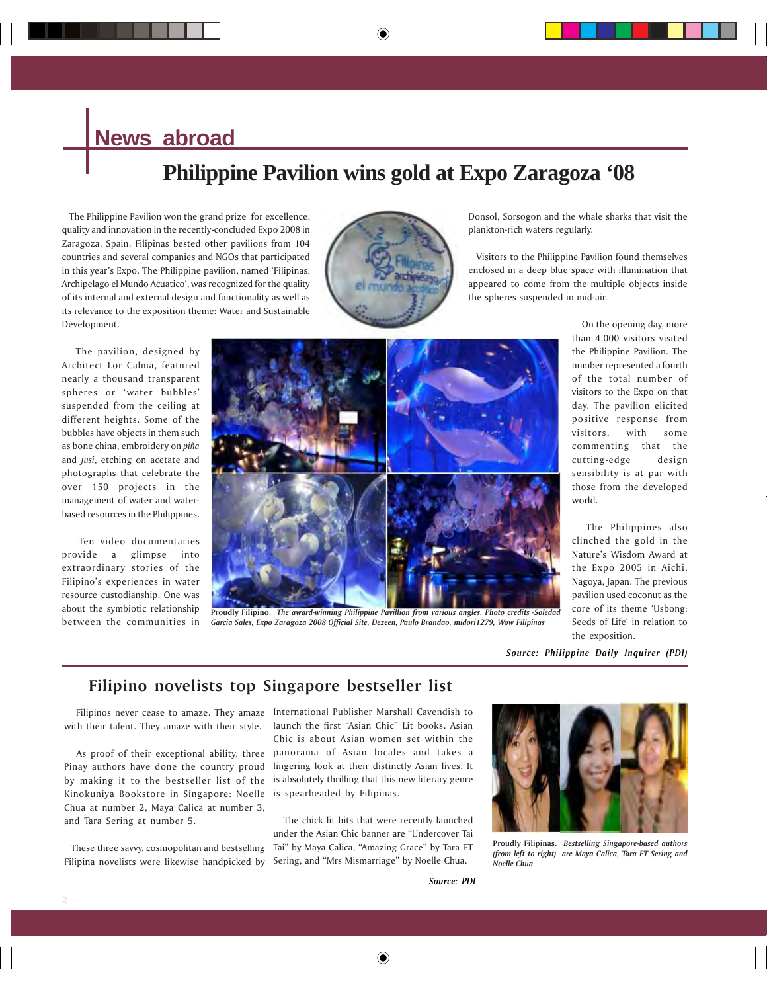## **News abroad**

# **Philippine Pavilion wins gold at Expo Zaragoza '08**

 The Philippine Pavilion won the grand prize for excellence, quality and innovation in the recently-concluded Expo 2008 in Zaragoza, Spain. Filipinas bested other pavilions from 104 countries and several companies and NGOs that participated in this year's Expo. The Philippine pavilion, named 'Filipinas, Archipelago el Mundo Acuatico', was recognized for the quality of its internal and external design and functionality as well as its relevance to the exposition theme: Water and Sustainable Development.



Donsol, Sorsogon and the whale sharks that visit the plankton-rich waters regularly.

 Visitors to the Philippine Pavilion found themselves enclosed in a deep blue space with illumination that appeared to come from the multiple objects inside the spheres suspended in mid-air.

 The pavilion, designed by Architect Lor Calma, featured nearly a thousand transparent spheres or 'water bubbles' suspended from the ceiling at different heights. Some of the bubbles have objects in them such as bone china, embroidery on *piña* and *jusi*, etching on acetate and photographs that celebrate the over 150 projects in the management of water and waterbased resources in the Philippines.

 Ten video documentaries provide a glimpse into extraordinary stories of the Filipino's experiences in water resource custodianship. One was about the symbiotic relationship between the communities in



**Proudly Filipino.** *The award-winning Philippine Pavillion from various angles. Photo credits -Soledad Garcia Sales, Expo Zaragoza 2008 Official Site, Dezeen, Paulo Brandao, midori1279, Wow Filipinas*

 On the opening day, more than 4,000 visitors visited the Philippine Pavilion. The number represented a fourth of the total number of visitors to the Expo on that day. The pavilion elicited positive response from visitors, with some commenting that the cutting-edge design sensibility is at par with those from the developed world.

 The Philippines also clinched the gold in the Nature's Wisdom Award at the Expo 2005 in Aichi, Nagoya, Japan. The previous pavilion used coconut as the core of its theme 'Usbong: Seeds of Life' in relation to the exposition.

*Source: Philippine Daily Inquirer (PDI)*

### **Filipino novelists top Singapore bestseller list**

 Filipinos never cease to amaze. They amaze International Publisher Marshall Cavendish to with their talent. They amaze with their style.

Pinay authors have done the country proud by making it to the bestseller list of the Kinokuniya Bookstore in Singapore: Noelle Chua at number 2, Maya Calica at number 3, and Tara Sering at number 5.

 These three savvy, cosmopolitan and bestselling Filipina novelists were likewise handpicked by

 As proof of their exceptional ability, three panorama of Asian locales and takes a launch the first "Asian Chic" Lit books. Asian Chic is about Asian women set within the lingering look at their distinctly Asian lives. It is absolutely thrilling that this new literary genre is spearheaded by Filipinas.

> The chick lit hits that were recently launched under the Asian Chic banner are "Undercover Tai Tai" by Maya Calica, "Amazing Grace" by Tara FT Sering, and "Mrs Mismarriage" by Noelle Chua.



**Proudly Filipinas.** *Bestselling Singapore-based authors (from left to right) are Maya Calica, Tara FT Sering and Noelle Chua.*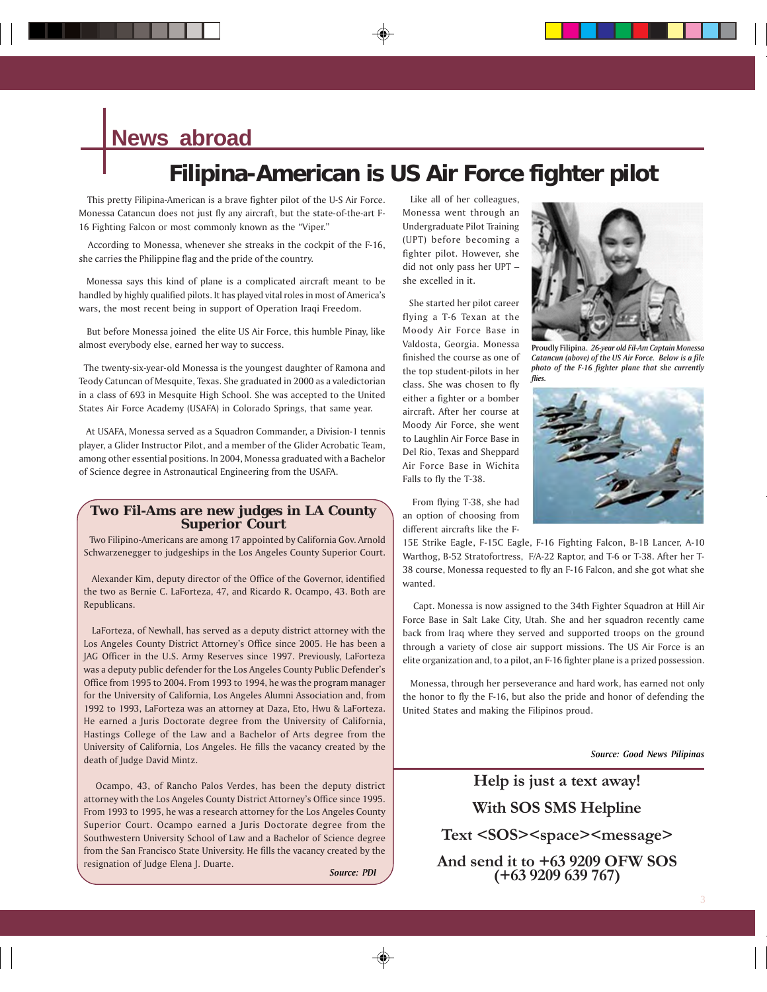# **News abroad**

# **Filipina-American is US Air Force fighter pilot**

 This pretty Filipina-American is a brave fighter pilot of the U-S Air Force. Monessa Catancun does not just fly any aircraft, but the state-of-the-art F-16 Fighting Falcon or most commonly known as the "Viper."

 According to Monessa, whenever she streaks in the cockpit of the F-16, she carries the Philippine flag and the pride of the country.

 Monessa says this kind of plane is a complicated aircraft meant to be handled by highly qualified pilots. It has played vital roles in most of America's wars, the most recent being in support of Operation Iraqi Freedom.

 But before Monessa joined the elite US Air Force, this humble Pinay, like almost everybody else, earned her way to success.

 The twenty-six-year-old Monessa is the youngest daughter of Ramona and Teody Catuncan of Mesquite, Texas. She graduated in 2000 as a valedictorian in a class of 693 in Mesquite High School. She was accepted to the United States Air Force Academy (USAFA) in Colorado Springs, that same year.

 At USAFA, Monessa served as a Squadron Commander, a Division-1 tennis player, a Glider Instructor Pilot, and a member of the Glider Acrobatic Team, among other essential positions. In 2004, Monessa graduated with a Bachelor of Science degree in Astronautical Engineering from the USAFA.

#### **Two Fil-Ams are new judges in LA County Superior Court**

 Two Filipino-Americans are among 17 appointed by California Gov. Arnold Schwarzenegger to judgeships in the Los Angeles County Superior Court.

 Alexander Kim, deputy director of the Office of the Governor, identified the two as Bernie C. LaForteza, 47, and Ricardo R. Ocampo, 43. Both are Republicans.

 LaForteza, of Newhall, has served as a deputy district attorney with the Los Angeles County District Attorney's Office since 2005. He has been a JAG Officer in the U.S. Army Reserves since 1997. Previously, LaForteza was a deputy public defender for the Los Angeles County Public Defender's Office from 1995 to 2004. From 1993 to 1994, he was the program manager for the University of California, Los Angeles Alumni Association and, from 1992 to 1993, LaForteza was an attorney at Daza, Eto, Hwu & LaForteza. He earned a Juris Doctorate degree from the University of California, Hastings College of the Law and a Bachelor of Arts degree from the University of California, Los Angeles. He fills the vacancy created by the death of Judge David Mintz.

 Ocampo, 43, of Rancho Palos Verdes, has been the deputy district attorney with the Los Angeles County District Attorney's Office since 1995. From 1993 to 1995, he was a research attorney for the Los Angeles County Superior Court. Ocampo earned a Juris Doctorate degree from the Southwestern University School of Law and a Bachelor of Science degree from the San Francisco State University. He fills the vacancy created by the resignation of Judge Elena J. Duarte.

*Source: PDI*

 Like all of her colleagues, Monessa went through an Undergraduate Pilot Training (UPT) before becoming a fighter pilot. However, she did not only pass her UPT – she excelled in it.

 She started her pilot career flying a T-6 Texan at the Moody Air Force Base in Valdosta, Georgia. Monessa finished the course as one of the top student-pilots in her class. She was chosen to fly either a fighter or a bomber aircraft. After her course at Moody Air Force, she went to Laughlin Air Force Base in Del Rio, Texas and Sheppard Air Force Base in Wichita Falls to fly the T-38.



**Proudly Filipina.** *26-year old Fil-Am Captain Monessa Catancun (above) of the US Air Force. Below is a file photo of the F-16 fighter plane that she currently flies.*



 From flying T-38, she had an option of choosing from different aircrafts like the F-

15E Strike Eagle, F-15C Eagle, F-16 Fighting Falcon, B-1B Lancer, A-10 Warthog, B-52 Stratofortress, F/A-22 Raptor, and T-6 or T-38. After her T-38 course, Monessa requested to fly an F-16 Falcon, and she got what she wanted.

 Capt. Monessa is now assigned to the 34th Fighter Squadron at Hill Air Force Base in Salt Lake City, Utah. She and her squadron recently came back from Iraq where they served and supported troops on the ground through a variety of close air support missions. The US Air Force is an elite organization and, to a pilot, an F-16 fighter plane is a prized possession.

 Monessa, through her perseverance and hard work, has earned not only the honor to fly the F-16, but also the pride and honor of defending the United States and making the Filipinos proud.

*Source: Good News Pilipinas*

**Help is just a text away! With SOS SMS Helpline**

**Text <SOS><space><message>**

**And send it to +63 9209 OFW SOS (+63 9209 639 767)**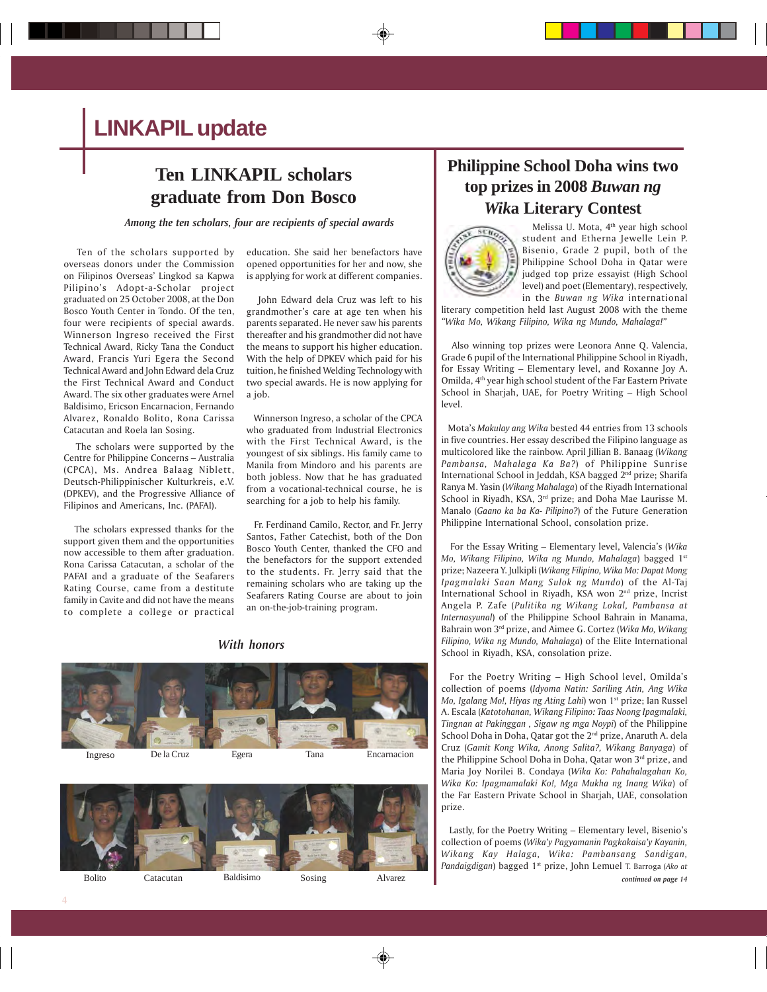# **LINKAPIL update**

### **Ten LINKAPIL scholars graduate from Don Bosco**

*Among the ten scholars, four are recipients of special awards*

 Ten of the scholars supported by overseas donors under the Commission on Filipinos Overseas' Lingkod sa Kapwa Pilipino's Adopt-a-Scholar project graduated on 25 October 2008, at the Don Bosco Youth Center in Tondo. Of the ten, four were recipients of special awards. Winnerson Ingreso received the First Technical Award, Ricky Tana the Conduct Award, Francis Yuri Egera the Second Technical Award and John Edward dela Cruz the First Technical Award and Conduct Award. The six other graduates were Arnel Baldisimo, Ericson Encarnacion, Fernando Alvarez, Ronaldo Bolito, Rona Carissa Catacutan and Roela Ian Sosing.

 The scholars were supported by the Centre for Philippine Concerns – Australia (CPCA), Ms. Andrea Balaag Niblett, Deutsch-Philippinischer Kulturkreis, e.V. (DPKEV), and the Progressive Alliance of Filipinos and Americans, Inc. (PAFAI).

 The scholars expressed thanks for the support given them and the opportunities now accessible to them after graduation. Rona Carissa Catacutan, a scholar of the PAFAI and a graduate of the Seafarers Rating Course, came from a destitute family in Cavite and did not have the means to complete a college or practical education. She said her benefactors have opened opportunities for her and now, she is applying for work at different companies.

 John Edward dela Cruz was left to his grandmother's care at age ten when his parents separated. He never saw his parents thereafter and his grandmother did not have the means to support his higher education. With the help of DPKEV which paid for his tuition, he finished Welding Technology with two special awards. He is now applying for a job.

 Winnerson Ingreso, a scholar of the CPCA who graduated from Industrial Electronics with the First Technical Award, is the youngest of six siblings. His family came to Manila from Mindoro and his parents are both jobless. Now that he has graduated from a vocational-technical course, he is searching for a job to help his family.

 Fr. Ferdinand Camilo, Rector, and Fr. Jerry Santos, Father Catechist, both of the Don Bosco Youth Center, thanked the CFO and the benefactors for the support extended to the students. Fr. Jerry said that the remaining scholars who are taking up the Seafarers Rating Course are about to join an on-the-job-training program.

*With honors*





### **Philippine School Doha wins two top prizes in 2008** *Buwan ng Wik***a Literary Contest**



 Melissa U. Mota, 4th year high school student and Etherna Jewelle Lein P. Bisenio, Grade 2 pupil, both of the Philippine School Doha in Qatar were judged top prize essayist (High School level) and poet (Elementary), respectively, in the *Buwan ng Wika* international

literary competition held last August 2008 with the theme *"Wika Mo, Wikang Filipino, Wika ng Mundo, Mahalaga!"*

 Also winning top prizes were Leonora Anne Q. Valencia, Grade 6 pupil of the International Philippine School in Riyadh, for Essay Writing – Elementary level, and Roxanne Joy A. Omilda, 4th year high school student of the Far Eastern Private School in Sharjah, UAE, for Poetry Writing – High School level.

 Mota's *Makulay ang Wika* bested 44 entries from 13 schools in five countries. Her essay described the Filipino language as multicolored like the rainbow. April Jillian B. Banaag (*Wikang Pambansa, Mahalaga Ka Ba?*) of Philippine Sunrise International School in Jeddah, KSA bagged 2nd prize; Sharifa Ranya M. Yasin (*Wikang Mahalaga*) of the Riyadh International School in Riyadh, KSA, 3<sup>rd</sup> prize; and Doha Mae Laurisse M. Manalo (*Gaano ka ba Ka- Pilipino?*) of the Future Generation Philippine International School, consolation prize.

 For the Essay Writing – Elementary level, Valencia's (*Wika Mo, Wikang Filipino, Wika ng Mundo, Mahalaga*) bagged 1st prize; Nazeera Y. Julkipli (*Wikang Filipino, Wika Mo: Dapat Mong Ipagmalaki Saan Mang Sulok ng Mundo*) of the Al-Taj International School in Riyadh, KSA won 2nd prize, Incrist Angela P. Zafe (*Pulitika ng Wikang Lokal, Pambansa at Internasyunal*) of the Philippine School Bahrain in Manama, Bahrain won 3rd prize, and Aimee G. Cortez (*Wika Mo, Wikang Filipino, Wika ng Mundo, Mahalaga*) of the Elite International School in Riyadh, KSA, consolation prize.

 For the Poetry Writing – High School level, Omilda's collection of poems (*Idyoma Natin: Sariling Atin, Ang Wika Mo, Igalang Mo!, Hiyas ng Ating Lahi*) won 1st prize; Ian Russel A. Escala (*Katotohanan, Wikang Filipino: Taas Noong Ipagmalaki, Tingnan at Pakinggan , Sigaw ng mga Noypi*) of the Philippine School Doha in Doha, Qatar got the 2<sup>nd</sup> prize, Anaruth A. dela Cruz (*Gamit Kong Wika, Anong Salita?, Wikang Banyaga*) of the Philippine School Doha in Doha, Qatar won 3rd prize, and Maria Joy Norilei B. Condaya (*Wika Ko: Pahahalagahan Ko, Wika Ko: Ipagmamalaki Ko!, Mga Mukha ng Inang Wika*) of the Far Eastern Private School in Sharjah, UAE, consolation prize.

 Lastly, for the Poetry Writing – Elementary level, Bisenio's collection of poems (*Wika'y Pagyamanin Pagkakaisa'y Kayanin, Wikang Kay Halaga, Wika: Pambansang Sandigan, Pandaigdigan*) bagged 1st prize, John Lemuel T. Barroga (*Ako at continued on page 14*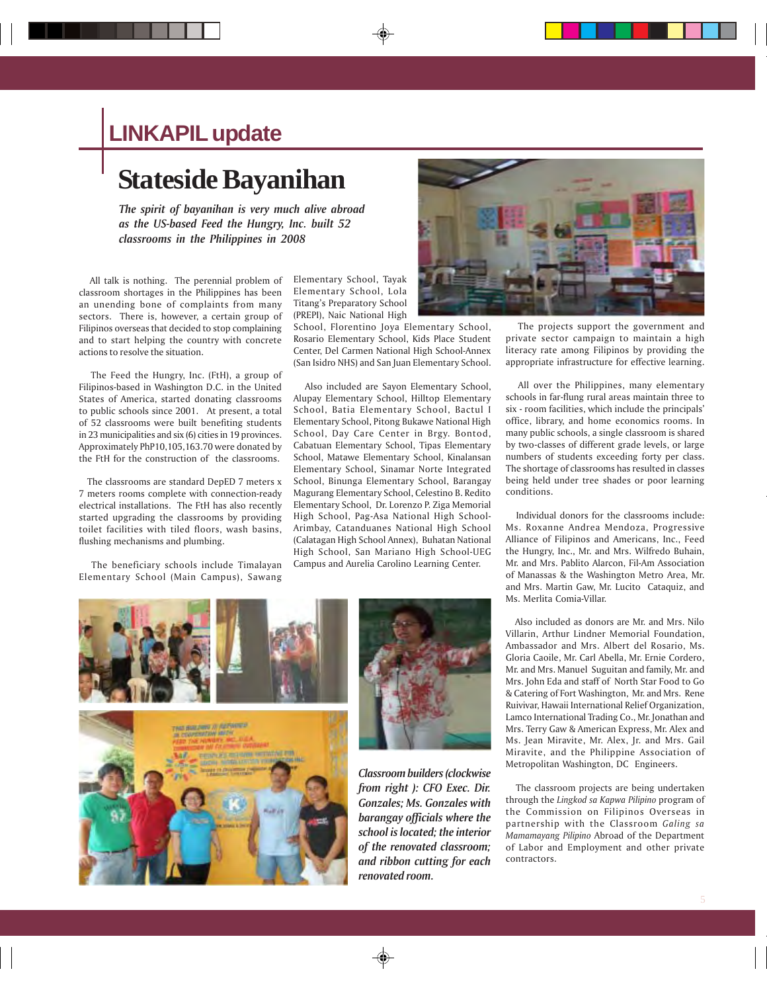# **LINKAPIL update**

# **Stateside Bayanihan**

*The spirit of bayanihan is very much alive abroad as the US-based Feed the Hungry, Inc. built 52 classrooms in the Philippines in 2008*

 All talk is nothing. The perennial problem of classroom shortages in the Philippines has been an unending bone of complaints from many sectors. There is, however, a certain group of Filipinos overseas that decided to stop complaining and to start helping the country with concrete actions to resolve the situation.

 The Feed the Hungry, Inc. (FtH), a group of Filipinos-based in Washington D.C. in the United States of America, started donating classrooms to public schools since 2001. At present, a total of 52 classrooms were built benefiting students in 23 municipalities and six (6) cities in 19 provinces. Approximately PhP10,105,163.70 were donated by the FtH for the construction of the classrooms.

 The classrooms are standard DepED 7 meters x 7 meters rooms complete with connection-ready electrical installations. The FtH has also recently started upgrading the classrooms by providing toilet facilities with tiled floors, wash basins, flushing mechanisms and plumbing.

 The beneficiary schools include Timalayan Elementary School (Main Campus), Sawang

Elementary School, Tayak Elementary School, Lola Titang's Preparatory School (PREPI), Naic National High

School, Florentino Joya Elementary School, Rosario Elementary School, Kids Place Student Center, Del Carmen National High School-Annex (San Isidro NHS) and San Juan Elementary School.

 Also included are Sayon Elementary School, Alupay Elementary School, Hilltop Elementary School, Batia Elementary School, Bactul I Elementary School, Pitong Bukawe National High School, Day Care Center in Brgy. Bontod, Cabatuan Elementary School, Tipas Elementary School, Matawe Elementary School, Kinalansan Elementary School, Sinamar Norte Integrated School, Binunga Elementary School, Barangay Magurang Elementary School, Celestino B. Redito Elementary School, Dr. Lorenzo P. Ziga Memorial High School, Pag-Asa National High School-Arimbay, Catanduanes National High School (Calatagan High School Annex), Buhatan National High School, San Mariano High School-UEG Campus and Aurelia Carolino Learning Center.





 The projects support the government and private sector campaign to maintain a high literacy rate among Filipinos by providing the appropriate infrastructure for effective learning.

 All over the Philippines, many elementary schools in far-flung rural areas maintain three to six - room facilities, which include the principals' office, library, and home economics rooms. In many public schools, a single classroom is shared by two-classes of different grade levels, or large numbers of students exceeding forty per class. The shortage of classrooms has resulted in classes being held under tree shades or poor learning conditions.

 Individual donors for the classrooms include: Ms. Roxanne Andrea Mendoza, Progressive Alliance of Filipinos and Americans, Inc., Feed the Hungry, Inc., Mr. and Mrs. Wilfredo Buhain, Mr. and Mrs. Pablito Alarcon, Fil-Am Association of Manassas & the Washington Metro Area, Mr. and Mrs. Martin Gaw, Mr. Lucito Cataquiz, and Ms. Merlita Comia-Villar.

 Also included as donors are Mr. and Mrs. Nilo Villarin, Arthur Lindner Memorial Foundation, Ambassador and Mrs. Albert del Rosario, Ms. Gloria Caoile, Mr. Carl Abella, Mr. Ernie Cordero, Mr. and Mrs. Manuel Suguitan and family, Mr. and Mrs. John Eda and staff of North Star Food to Go & Catering of Fort Washington, Mr. and Mrs. Rene Ruivivar, Hawaii International Relief Organization, Lamco International Trading Co., Mr. Jonathan and Mrs. Terry Gaw & American Express, Mr. Alex and Ms. Jean Miravite, Mr. Alex, Jr. and Mrs. Gail Miravite, and the Philippine Association of Metropolitan Washington, DC Engineers.

 The classroom projects are being undertaken through the *Lingkod sa Kapwa Pilipino* program of the Commission on Filipinos Overseas in partnership with the Classroom *Galing sa Mamamayang Pilipino* Abroad of the Department of Labor and Employment and other private contractors.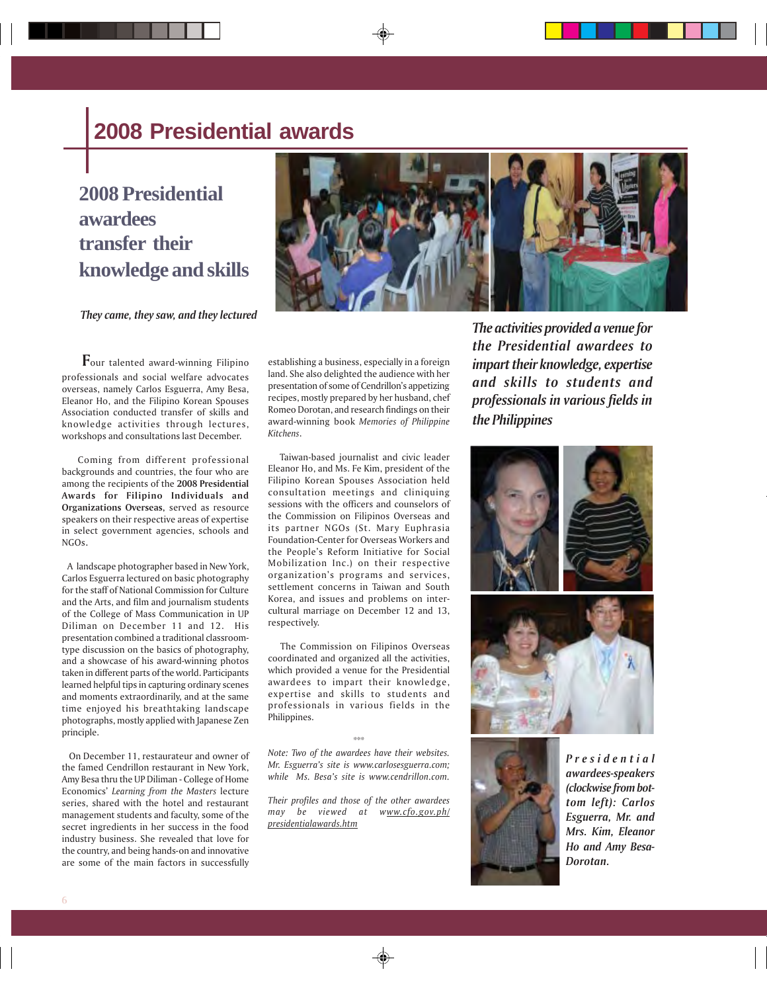# **2008 Presidential awards**

# **2008 Presidential awardees transfer their knowledge and skills**

*They came, they saw, and they lectured*

 **F**our talented award-winning Filipino professionals and social welfare advocates overseas, namely Carlos Esguerra, Amy Besa, Eleanor Ho, and the Filipino Korean Spouses Association conducted transfer of skills and knowledge activities through lectures, workshops and consultations last December.

 Coming from different professional backgrounds and countries, the four who are among the recipients of the **2008 Presidential Awards for Filipino Individuals and Organizations Overseas,** served as resource speakers on their respective areas of expertise in select government agencies, schools and NGOs**.**

 A landscape photographer based in New York, Carlos Esguerra lectured on basic photography for the staff of National Commission for Culture and the Arts, and film and journalism students of the College of Mass Communication in UP Diliman on December 11 and 12. His presentation combined a traditional classroomtype discussion on the basics of photography, and a showcase of his award-winning photos taken in different parts of the world. Participants learned helpful tips in capturing ordinary scenes and moments extraordinarily, and at the same time enjoyed his breathtaking landscape photographs, mostly applied with Japanese Zen principle.

 On December 11, restaurateur and owner of the famed Cendrillon restaurant in New York, Amy Besa thru the UP Diliman - College of Home Economics' *Learning from the Masters* lecture series, shared with the hotel and restaurant management students and faculty, some of the secret ingredients in her success in the food industry business. She revealed that love for the country, and being hands-on and innovative are some of the main factors in successfully



establishing a business, especially in a foreign land. She also delighted the audience with her presentation of some of Cendrillon's appetizing recipes, mostly prepared by her husband, chef Romeo Dorotan, and research findings on their award-winning book *Memories of Philippine Kitchens*.

 Taiwan-based journalist and civic leader Eleanor Ho, and Ms. Fe Kim, president of the Filipino Korean Spouses Association held consultation meetings and cliniquing sessions with the officers and counselors of the Commission on Filipinos Overseas and its partner NGOs (St. Mary Euphrasia Foundation-Center for Overseas Workers and the People's Reform Initiative for Social Mobilization Inc.) on their respective organization's programs and services, settlement concerns in Taiwan and South Korea, and issues and problems on intercultural marriage on December 12 and 13, respectively.

 The Commission on Filipinos Overseas coordinated and organized all the activities, which provided a venue for the Presidential awardees to impart their knowledge, expertise and skills to students and professionals in various fields in the Philippines.

\*\*\*

*Note: Two of the awardees have their websites. Mr. Esguerra's site is www.carlosesguerra.com; while Ms. Besa's site is www.cendrillon.com.*

*Their profiles and those of the other awardees may be viewed at www.cfo.gov.ph/ presidentialawards.htm*

*The activities provided a venue for the Presidential awardees to impart their knowledge, expertise and skills to students and professionals in various fields in the Philippines*





*Presidential awardees-speakers (clockwise from bottom left): Carlos Esguerra, Mr. and Mrs. Kim, Eleanor Ho and Amy Besa-Dorotan.*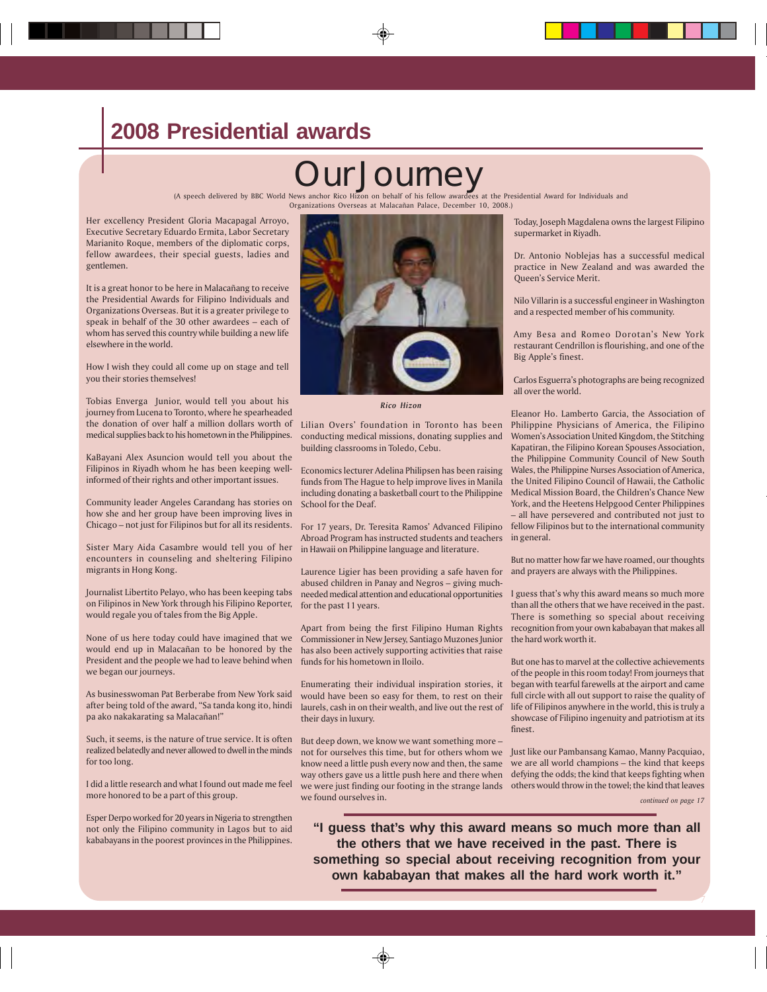# **2008 Presidential awards**

# **Journey**

(A speech delivered by BBC World News anchor Rico Hizon on behalf of his fellow awardees at the Presidential Award for Individuals and Organizations Overseas at Malacañan Palace, December 10, 2008.)

Her excellency President Gloria Macapagal Arroyo, Executive Secretary Eduardo Ermita, Labor Secretary Marianito Roque, members of the diplomatic corps, fellow awardees, their special guests, ladies and gentlemen.

It is a great honor to be here in Malacañang to receive the Presidential Awards for Filipino Individuals and Organizations Overseas. But it is a greater privilege to speak in behalf of the 30 other awardees – each of whom has served this country while building a new life elsewhere in the world.

How I wish they could all come up on stage and tell you their stories themselves!

Tobias Enverga Junior, would tell you about his journey from Lucena to Toronto, where he spearheaded the donation of over half a million dollars worth of medical supplies back to his hometown in the Philippines.

KaBayani Alex Asuncion would tell you about the Filipinos in Riyadh whom he has been keeping wellinformed of their rights and other important issues.

Community leader Angeles Carandang has stories on how she and her group have been improving lives in Chicago – not just for Filipinos but for all its residents.

Sister Mary Aida Casambre would tell you of her encounters in counseling and sheltering Filipino migrants in Hong Kong.

Journalist Libertito Pelayo, who has been keeping tabs on Filipinos in New York through his Filipino Reporter, would regale you of tales from the Big Apple.

None of us here today could have imagined that we would end up in Malacañan to be honored by the President and the people we had to leave behind when we began our journeys.

As businesswoman Pat Berberabe from New York said after being told of the award, "Sa tanda kong ito, hindi pa ako nakakarating sa Malacañan!"

Such, it seems, is the nature of true service. It is often realized belatedly and never allowed to dwell in the minds for too long.

I did a little research and what I found out made me feel more honored to be a part of this group.

Esper Derpo worked for 20 years in Nigeria to strengthen not only the Filipino community in Lagos but to aid kababayans in the poorest provinces in the Philippines.



*Rico Hizon*

Lilian Overs' foundation in Toronto has been conducting medical missions, donating supplies and building classrooms in Toledo, Cebu.

Economics lecturer Adelina Philipsen has been raising funds from The Hague to help improve lives in Manila including donating a basketball court to the Philippine School for the Deaf.

For 17 years, Dr. Teresita Ramos' Advanced Filipino Abroad Program has instructed students and teachers in Hawaii on Philippine language and literature.

Laurence Ligier has been providing a safe haven for and prayers are always with the Philippines. abused children in Panay and Negros – giving muchneeded medical attention and educational opportunities I guess that's why this award means so much more for the past 11 years.

Apart from being the first Filipino Human Rights Commissioner in New Jersey, Santiago Muzones Junior has also been actively supporting activities that raise funds for his hometown in Iloilo.

Enumerating their individual inspiration stories, it would have been so easy for them, to rest on their laurels, cash in on their wealth, and live out the rest of their days in luxury.

But deep down, we know we want something more – not for ourselves this time, but for others whom we Just like our Pambansang Kamao, Manny Pacquiao, know need a little push every now and then, the same way others gave us a little push here and there when we were just finding our footing in the strange lands others would throw in the towel; the kind that leaves we found ourselves in.

Today, Joseph Magdalena owns the largest Filipino supermarket in Riyadh.

Dr. Antonio Noblejas has a successful medical practice in New Zealand and was awarded the Queen's Service Merit.

Nilo Villarin is a successful engineer in Washington and a respected member of his community.

Amy Besa and Romeo Dorotan's New York restaurant Cendrillon is flourishing, and one of the Big Apple's finest.

Carlos Esguerra's photographs are being recognized all over the world.

Eleanor Ho. Lamberto Garcia, the Association of Philippine Physicians of America, the Filipino Women's Association United Kingdom, the Stitching Kapatiran, the Filipino Korean Spouses Association, the Philippine Community Council of New South Wales, the Philippine Nurses Association of America, the United Filipino Council of Hawaii, the Catholic Medical Mission Board, the Children's Chance New York, and the Heetens Helpgood Center Philippines – all have persevered and contributed not just to fellow Filipinos but to the international community in general.

But no matter how far we have roamed, our thoughts

than all the others that we have received in the past. There is something so special about receiving recognition from your own kababayan that makes all the hard work worth it.

But one has to marvel at the collective achievements of the people in this room today! From journeys that began with tearful farewells at the airport and came full circle with all out support to raise the quality of life of Filipinos anywhere in the world, this is truly a showcase of Filipino ingenuity and patriotism at its finest.

we are all world champions – the kind that keeps defying the odds; the kind that keeps fighting when

*continued on page 17*

7

**"I guess that's why this award means so much more than all the others that we have received in the past. There is something so special about receiving recognition from your own kababayan that makes all the hard work worth it."**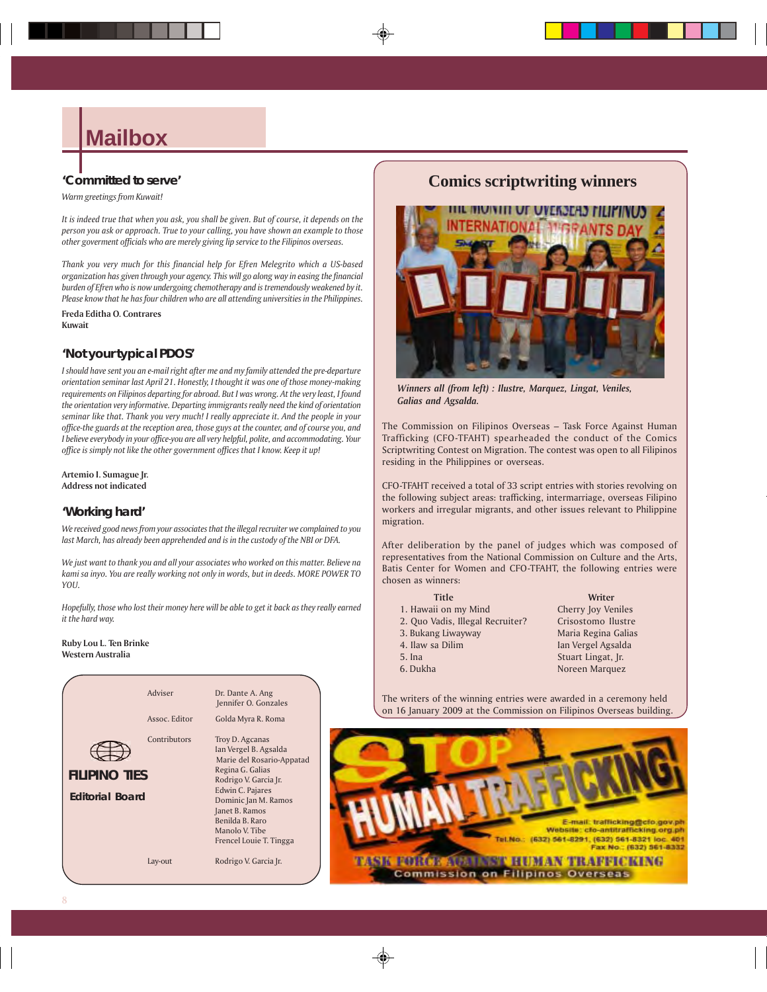# **Mailbox**

#### **'Committed to serve'**

*Warm greetings from Kuwait!*

*It is indeed true that when you ask, you shall be given. But of course, it depends on the person you ask or approach. True to your calling, you have shown an example to those other goverment officials who are merely giving lip service to the Filipinos overseas.*

*Thank you very much for this financial help for Efren Melegrito which a US-based organization has given through your agency. This will go along way in easing the financial burden of Efren who is now undergoing chemotherapy and is tremendously weakened by it. Please know that he has four children who are all attending universities in the Philippines.*

**Freda Editha O. Contrares Kuwait**

#### **'Not your typical PDOS'**

*I should have sent you an e-mail right after me and my family attended the pre-departure orientation seminar last April 21. Honestly, I thought it was one of those money-making requirements on Filipinos departing for abroad. But I was wrong. At the very least, I found the orientation very informative. Departing immigrants really need the kind of orientation seminar like that. Thank you very much! I really appreciate it. And the people in your office-the guards at the reception area, those guys at the counter, and of course you, and I believe everybody in your office-you are all very helpful, polite, and accommodating. Your office is simply not like the other government offices that I know. Keep it up!*

**Artemio I. Sumague Jr. Address not indicated**

#### **'Working hard'**

*We received good news from your associates that the illegal recruiter we complained to you last March, has already been apprehended and is in the custody of the NBI or DFA.*

*We just want to thank you and all your associates who worked on this matter. Believe na kami sa inyo. You are really working not only in words, but in deeds. MORE POWER TO YOU.*

*Hopefully, those who lost their money here will be able to get it back as they really earned it the hard way.*

#### **Ruby Lou L. Ten Brinke Western Australia**



### **Comics scriptwriting winners**



*Winners all (from left) : Ilustre, Marquez, Lingat, Veniles, Galias and Agsalda.*

The Commission on Filipinos Overseas – Task Force Against Human Trafficking (CFO-TFAHT) spearheaded the conduct of the Comics Scriptwriting Contest on Migration. The contest was open to all Filipinos residing in the Philippines or overseas.

CFO-TFAHT received a total of 33 script entries with stories revolving on the following subject areas: trafficking, intermarriage, overseas Filipino workers and irregular migrants, and other issues relevant to Philippine migration.

After deliberation by the panel of judges which was composed of representatives from the National Commission on Culture and the Arts, Batis Center for Women and CFO-TFAHT, the following entries were chosen as winners:

| <b>Title</b>                     | Writer              |
|----------------------------------|---------------------|
| 1. Hawaii on my Mind             | Cherry Joy Veniles  |
| 2. Quo Vadis, Illegal Recruiter? | Crisostomo Ilustre  |
| 3. Bukang Liwayway               | Maria Regina Galias |
| 4. Ilaw sa Dilim                 | Ian Vergel Agsalda  |
| 5. Ina                           | Stuart Lingat, Jr.  |
| 6. Dukha                         | Noreen Marquez      |

The writers of the winning entries were awarded in a ceremony held on 16 January 2009 at the Commission on Filipinos Overseas building.

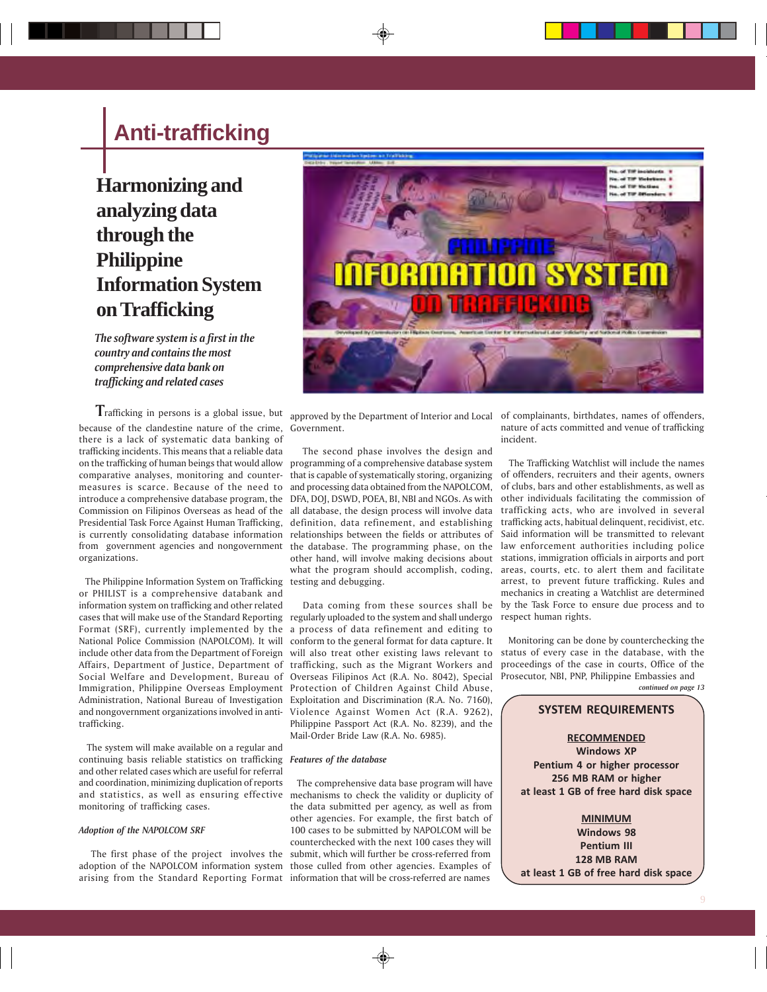# **Anti-trafficking**

# **Harmonizing and analyzing data through the Philippine Information System on Trafficking**

*The software system is a first in the country and contains the most comprehensive data bank on trafficking and related cases*

 **T**rafficking in persons is a global issue, but because of the clandestine nature of the crime, Government. there is a lack of systematic data banking of trafficking incidents. This means that a reliable data on the trafficking of human beings that would allow comparative analyses, monitoring and counter-that is capable of systematically storing, organizing of offenders, recruiters and their agents, owners measures is scarce. Because of the need to introduce a comprehensive database program, the DFA, DOJ, DSWD, POEA, BI, NBI and NGOs. As with Commission on Filipinos Overseas as head of the all database, the design process will involve data Presidential Task Force Against Human Trafficking, definition, data refinement, and establishing trafficking acts, habitual delinquent, recidivist, etc. is currently consolidating database information relationships between the fields or attributes of from government agencies and nongovernment the database. The programming phase, on the law enforcement authorities including police organizations.

 The Philippine Information System on Trafficking testing and debugging. or PHILIST is a comprehensive databank and information system on trafficking and other related National Police Commission (NAPOLCOM). It will trafficking.

 The system will make available on a regular and continuing basis reliable statistics on trafficking *Features of the database* and other related cases which are useful for referral and coordination, minimizing duplication of reports and statistics, as well as ensuring effective mechanisms to check the validity or duplicity of monitoring of trafficking cases.

#### *Adoption of the NAPOLCOM SRF*

arising from the Standard Reporting Format information that will be cross-referred are names



 The second phase involves the design and programming of a comprehensive database system and processing data obtained from the NAPOLCOM, what the program should accomplish, coding,

cases that will make use of the Standard Reporting regularly uploaded to the system and shall undergo Format (SRF), currently implemented by the a process of data refinement and editing to include other data from the Department of Foreign will also treat other existing laws relevant to Affairs, Department of Justice, Department of trafficking, such as the Migrant Workers and Social Welfare and Development, Bureau of Overseas Filipinos Act (R.A. No. 8042), Special Prosecutor, NBI, PNP, Philippine Embassies and Immigration, Philippine Overseas Employment Protection of Children Against Child Abuse, Administration, National Bureau of Investigation Exploitation and Discrimination (R.A. No. 7160), and nongovernment organizations involved in anti-Violence Against Women Act (R.A. 9262), Data coming from these sources shall be conform to the general format for data capture. It Philippine Passport Act (R.A. No. 8239), and the Mail-Order Bride Law (R.A. No. 6985).

 The first phase of the project involves the submit, which will further be cross-referred from adoption of the NAPOLCOM information system those culled from other agencies. Examples of The comprehensive data base program will have the data submitted per agency, as well as from other agencies. For example, the first batch of 100 cases to be submitted by NAPOLCOM will be counterchecked with the next 100 cases they will

approved by the Department of Interior and Local of complainants, birthdates, names of offenders, nature of acts committed and venue of trafficking incident.

other hand, will involve making decisions about stations, immigration officials in airports and port The Trafficking Watchlist will include the names of clubs, bars and other establishments, as well as other individuals facilitating the commission of trafficking acts, who are involved in several Said information will be transmitted to relevant areas, courts, etc. to alert them and facilitate arrest, to prevent future trafficking. Rules and mechanics in creating a Watchlist are determined by the Task Force to ensure due process and to respect human rights.

> Monitoring can be done by counterchecking the status of every case in the database, with the proceedings of the case in courts, Office of the *continued on page 13*

#### **SYSTEM REQUIREMENTS**

**RECOMMENDED Windows XP Pentium 4 or higher processor 256 MB RAM or higher at least 1 GB of free hard disk space**

**MINIMUM Windows 98 Pentium III 128 MB RAM at least 1 GB of free hard disk space**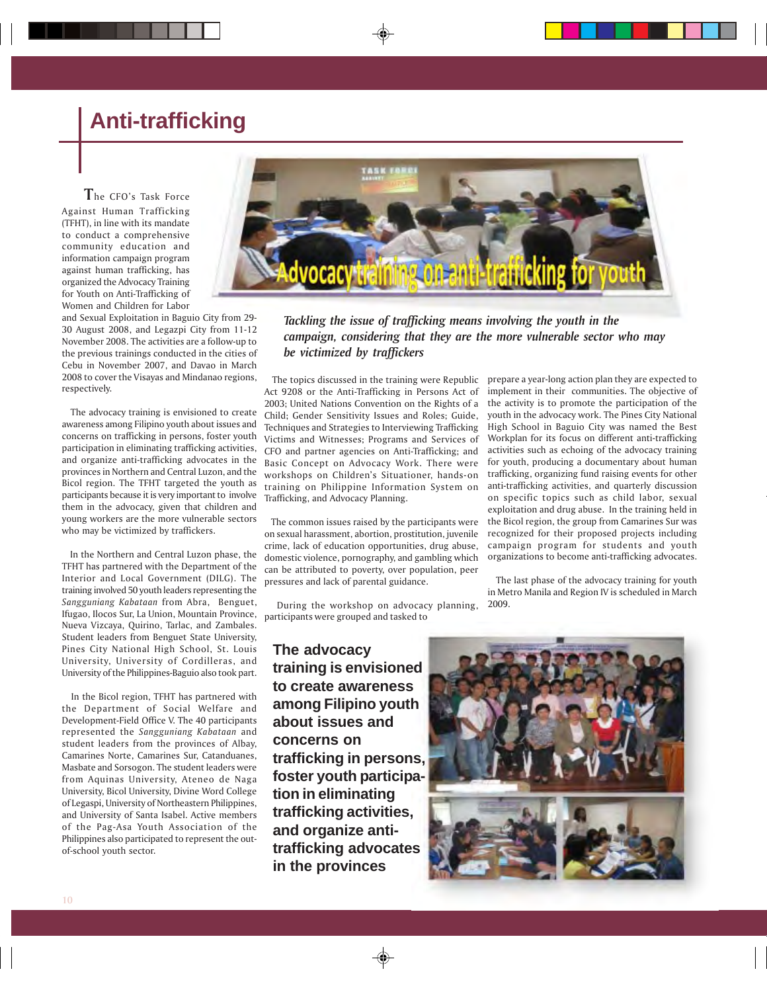# **Anti-trafficking**

#### **T**he CFO's Task Force

Against Human Trafficking (TFHT), in line with its mandate to conduct a comprehensive community education and information campaign program against human trafficking, has organized the Advocacy Training for Youth on Anti-Trafficking of Women and Children for Labor

and Sexual Exploitation in Baguio City from 29- 30 August 2008, and Legazpi City from 11-12 November 2008. The activities are a follow-up to the previous trainings conducted in the cities of Cebu in November 2007, and Davao in March 2008 to cover the Visayas and Mindanao regions, respectively.

 The advocacy training is envisioned to create awareness among Filipino youth about issues and concerns on trafficking in persons, foster youth participation in eliminating trafficking activities, and organize anti-trafficking advocates in the provinces in Northern and Central Luzon, and the Bicol region. The TFHT targeted the youth as participants because it is very important to involve them in the advocacy, given that children and young workers are the more vulnerable sectors who may be victimized by traffickers.

 In the Northern and Central Luzon phase, the TFHT has partnered with the Department of the Interior and Local Government (DILG). The training involved 50 youth leaders representing the *Sangguniang Kabataan* from Abra, Benguet, Ifugao, Ilocos Sur, La Union, Mountain Province, Nueva Vizcaya, Quirino, Tarlac, and Zambales. Student leaders from Benguet State University, Pines City National High School, St. Louis University, University of Cordilleras, and University of the Philippines-Baguio also took part.

 In the Bicol region, TFHT has partnered with the Department of Social Welfare and Development-Field Office V. The 40 participants represented the *Sangguniang Kabataan* and student leaders from the provinces of Albay, Camarines Norte, Camarines Sur, Catanduanes, Masbate and Sorsogon. The student leaders were from Aquinas University, Ateneo de Naga University, Bicol University, Divine Word College of Legaspi, University of Northeastern Philippines, and University of Santa Isabel. Active members of the Pag-Asa Youth Association of the Philippines also participated to represent the outof-school youth sector.



#### *Tackling the issue of trafficking means involving the youth in the campaign, considering that they are the more vulnerable sector who may be victimized by traffickers*

 The topics discussed in the training were Republic Act 9208 or the Anti-Trafficking in Persons Act of 2003; United Nations Convention on the Rights of a Child; Gender Sensitivity Issues and Roles; Guide, Techniques and Strategies to Interviewing Trafficking Victims and Witnesses; Programs and Services of CFO and partner agencies on Anti-Trafficking; and Basic Concept on Advocacy Work. There were workshops on Children's Situationer, hands-on training on Philippine Information System on Trafficking, and Advocacy Planning.

 The common issues raised by the participants were on sexual harassment, abortion, prostitution, juvenile crime, lack of education opportunities, drug abuse, domestic violence, pornography, and gambling which can be attributed to poverty, over population, peer pressures and lack of parental guidance.

 During the workshop on advocacy planning, participants were grouped and tasked to

**The advocacy training is envisioned to create awareness among Filipino youth about issues and concerns on trafficking in persons, foster youth participation in eliminating trafficking activities, and organize antitrafficking advocates in the provinces**

prepare a year-long action plan they are expected to implement in their communities. The objective of the activity is to promote the participation of the youth in the advocacy work. The Pines City National High School in Baguio City was named the Best Workplan for its focus on different anti-trafficking activities such as echoing of the advocacy training for youth, producing a documentary about human trafficking, organizing fund raising events for other anti-trafficking activities, and quarterly discussion on specific topics such as child labor, sexual exploitation and drug abuse. In the training held in the Bicol region, the group from Camarines Sur was recognized for their proposed projects including campaign program for students and youth organizations to become anti-trafficking advocates.

 The last phase of the advocacy training for youth in Metro Manila and Region IV is scheduled in March 2009.

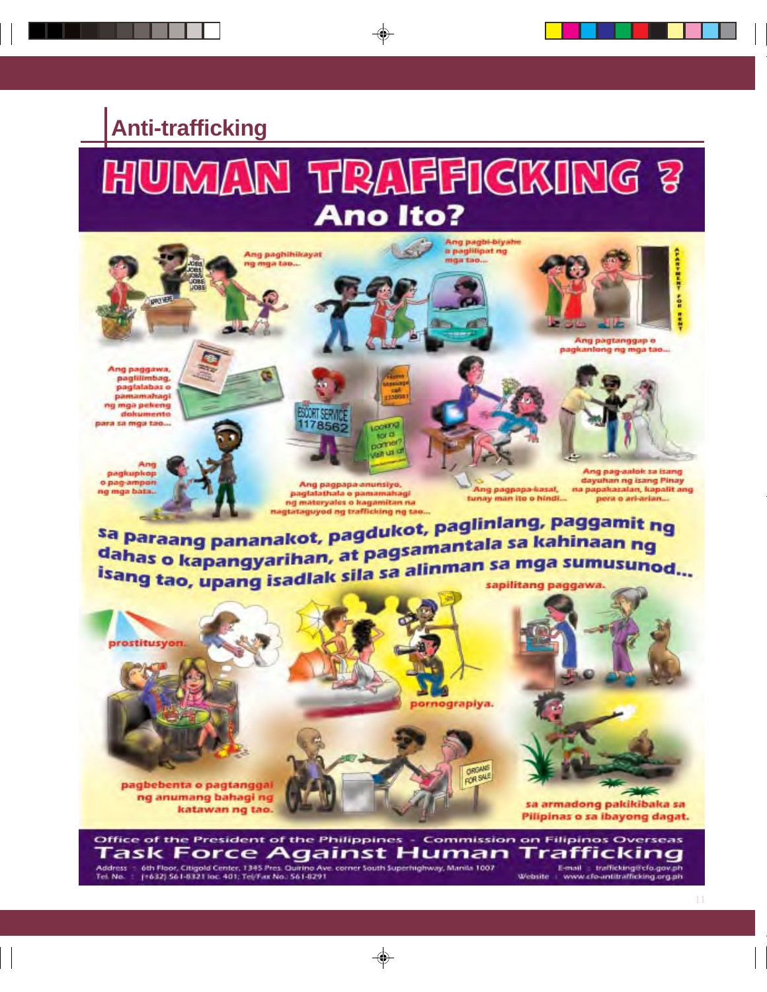# **Anti-trafficking**

# HUMAN TRAFFICKING 3 **Ano Ito?**



Office of the President of the Philippines - Commission on Filipinos Overseas 'ask Force Against Human Trafficking 6th Floor, Citigold Center, 1345 Pres. Quirino Ave. corner South Superhighway, Manila 1007 Address E-mail = trafficking@cfo.gov.ph Tel. No. (+632) 561-8321 for: 401; Tel/Fax No.: 561-8291 Website : www.cfo-antitrafficking.org.ph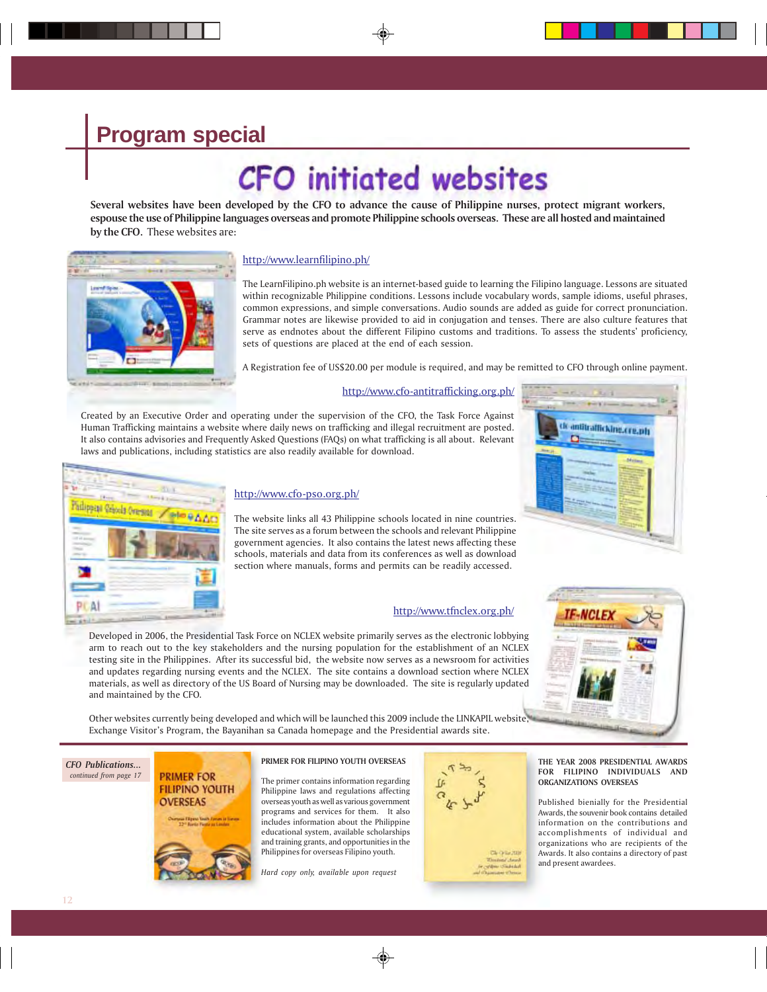# **CFO** initiated websites

**Several websites have been developed by the CFO to advance the cause of Philippine nurses, protect migrant workers, espouse the use of Philippine languages overseas and promote Philippine schools overseas. These are all hosted and maintained by the CFO.** These websites are:



#### http://www.learnfilipino.ph/

The LearnFilipino.ph website is an internet-based guide to learning the Filipino language. Lessons are situated within recognizable Philippine conditions. Lessons include vocabulary words, sample idioms, useful phrases, common expressions, and simple conversations. Audio sounds are added as guide for correct pronunciation. Grammar notes are likewise provided to aid in conjugation and tenses. There are also culture features that serve as endnotes about the different Filipino customs and traditions. To assess the students' proficiency, sets of questions are placed at the end of each session.

A Registration fee of US\$20.00 per module is required, and may be remitted to CFO through online payment.

#### http://www.cfo-antitrafficking.org.ph/

Created by an Executive Order and operating under the supervision of the CFO, the Task Force Against Human Trafficking maintains a website where daily news on trafficking and illegal recruitment are posted. It also contains advisories and Frequently Asked Questions (FAQs) on what trafficking is all about. Relevant laws and publications, including statistics are also readily available for download.



#### http://www.cfo-pso.org.ph/

The website links all 43 Philippine schools located in nine countries. The site serves as a forum between the schools and relevant Philippine government agencies. It also contains the latest news affecting these schools, materials and data from its conferences as well as download section where manuals, forms and permits can be readily accessed.

#### http://www.tfnclex.org.ph/

Developed in 2006, the Presidential Task Force on NCLEX website primarily serves as the electronic lobbying arm to reach out to the key stakeholders and the nursing population for the establishment of an NCLEX testing site in the Philippines. After its successful bid, the website now serves as a newsroom for activities and updates regarding nursing events and the NCLEX. The site contains a download section where NCLEX materials, as well as directory of the US Board of Nursing may be downloaded. The site is regularly updated and maintained by the CFO.



k antitrafficking.cre.ph

n

Other websites currently being developed and which will be launched this 2009 include the LINKAPIL website, Exchange Visitor's Program, the Bayanihan sa Canada homepage and the Presidential awards site.

#### *CFO Publications... continued from page 17*

### **PRIMER FOR FILIPINO YOUTH OVERSEAS**



#### **PRIMER FOR FILIPINO YOUTH OVERSEAS**

The primer contains information regarding Philippine laws and regulations affecting overseas youth as well as various government programs and services for them. It also includes information about the Philippine educational system, available scholarships and training grants, and opportunities in the Philippines for overseas Filipino youth.

*Hard copy only, available upon request*



#### **THE YEAR 2008 PRESIDENTIAL AWARDS FOR FILIPINO INDIVIDUALS AND ORGANIZATIONS OVERSEAS**

Published bienially for the Presidential Awards, the souvenir book contains detailed information on the contributions and accomplishments of individual and organizations who are recipients of the Awards. It also contains a directory of past and present awardees.



**12**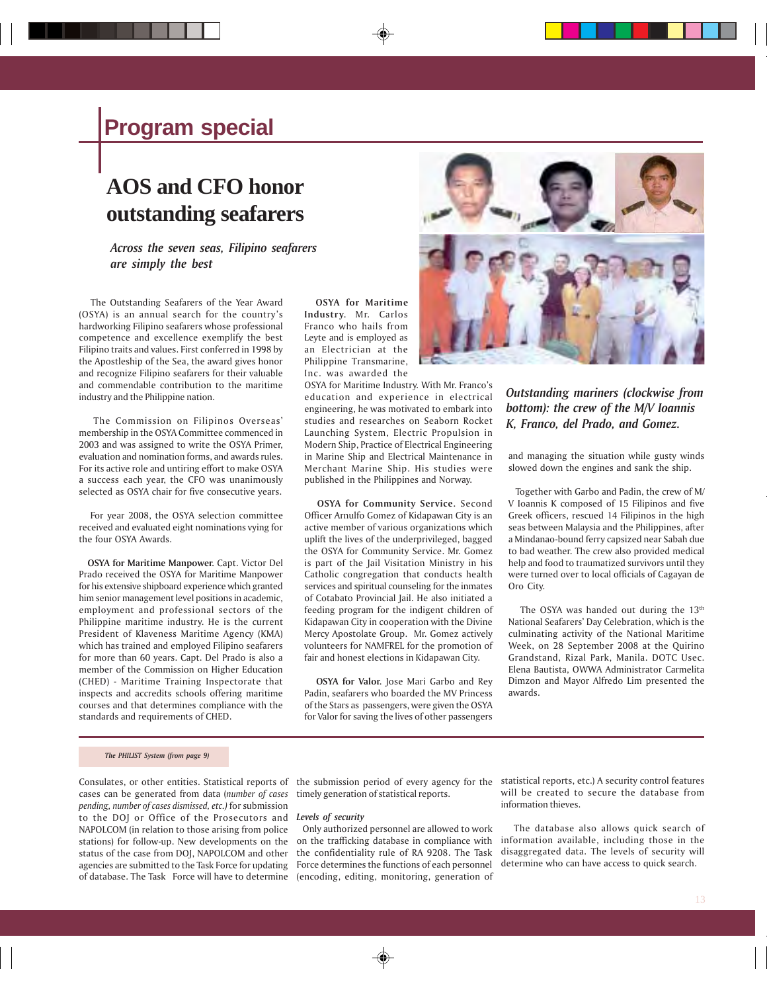# **AOS and CFO honor outstanding seafarers**

*Across the seven seas, Filipino seafarers are simply the best*

 The Outstanding Seafarers of the Year Award (OSYA) is an annual search for the country's hardworking Filipino seafarers whose professional competence and excellence exemplify the best Filipino traits and values. First conferred in 1998 by the Apostleship of the Sea, the award gives honor and recognize Filipino seafarers for their valuable and commendable contribution to the maritime industry and the Philippine nation.

 The Commission on Filipinos Overseas' membership in the OSYA Committee commenced in 2003 and was assigned to write the OSYA Primer, evaluation and nomination forms, and awards rules. For its active role and untiring effort to make OSYA a success each year, the CFO was unanimously selected as OSYA chair for five consecutive years.

 For year 2008, the OSYA selection committee received and evaluated eight nominations vying for the four OSYA Awards.

 **OSYA for Maritime Manpower.** Capt. Victor Del Prado received the OSYA for Maritime Manpower for his extensive shipboard experience which granted him senior management level positions in academic, employment and professional sectors of the Philippine maritime industry. He is the current President of Klaveness Maritime Agency (KMA) which has trained and employed Filipino seafarers for more than 60 years. Capt. Del Prado is also a member of the Commission on Higher Education (CHED) - Maritime Training Inspectorate that inspects and accredits schools offering maritime courses and that determines compliance with the standards and requirements of CHED.

 **OSYA for Maritime Industry.** Mr. Carlos Franco who hails from Leyte and is employed as an Electrician at the Philippine Transmarine, Inc. was awarded the

OSYA for Maritime Industry. With Mr. Franco's education and experience in electrical engineering, he was motivated to embark into studies and researches on Seaborn Rocket Launching System, Electric Propulsion in Modern Ship, Practice of Electrical Engineering in Marine Ship and Electrical Maintenance in Merchant Marine Ship. His studies were published in the Philippines and Norway.

 **OSYA for Community Service.** Second Officer Arnulfo Gomez of Kidapawan City is an active member of various organizations which uplift the lives of the underprivileged, bagged the OSYA for Community Service. Mr. Gomez is part of the Jail Visitation Ministry in his Catholic congregation that conducts health services and spiritual counseling for the inmates of Cotabato Provincial Jail. He also initiated a feeding program for the indigent children of Kidapawan City in cooperation with the Divine Mercy Apostolate Group. Mr. Gomez actively volunteers for NAMFREL for the promotion of fair and honest elections in Kidapawan City.

 **OSYA for Valor.** Jose Mari Garbo and Rey Padin, seafarers who boarded the MV Princess of the Stars as passengers, were given the OSYA for Valor for saving the lives of other passengers



*Outstanding mariners (clockwise from bottom): the crew of the M/V Ioannis K, Franco, del Prado, and Gomez.*

and managing the situation while gusty winds slowed down the engines and sank the ship.

 Together with Garbo and Padin, the crew of M/ V Ioannis K composed of 15 Filipinos and five Greek officers, rescued 14 Filipinos in the high seas between Malaysia and the Philippines, after a Mindanao-bound ferry capsized near Sabah due to bad weather. The crew also provided medical help and food to traumatized survivors until they were turned over to local officials of Cagayan de Oro City.

The OSYA was handed out during the  $13<sup>th</sup>$ National Seafarers' Day Celebration, which is the culminating activity of the National Maritime Week, on 28 September 2008 at the Quirino Grandstand, Rizal Park, Manila. DOTC Usec. Elena Bautista, OWWA Administrator Carmelita Dimzon and Mayor Alfredo Lim presented the awards.

#### *The PHILIST System (from page 9)*

cases can be generated from data (*number of cases pending, number of cases dismissed, etc.)* for submission to the DOJ or Office of the Prosecutors and *Levels of security* NAPOLCOM (in relation to those arising from police stations) for follow-up. New developments on the status of the case from DOJ, NAPOLCOM and other agencies are submitted to the Task Force for updating of database. The Task Force will have to determine

timely generation of statistical reports.

 Only authorized personnel are allowed to work on the trafficking database in compliance with the confidentiality rule of RA 9208. The Task Force determines the functions of each personnel (encoding, editing, monitoring, generation of

Consulates, or other entities. Statistical reports of the submission period of every agency for the statistical reports, etc.) A security control features will be created to secure the database from information thieves.

> The database also allows quick search of information available, including those in the disaggregated data. The levels of security will determine who can have access to quick search.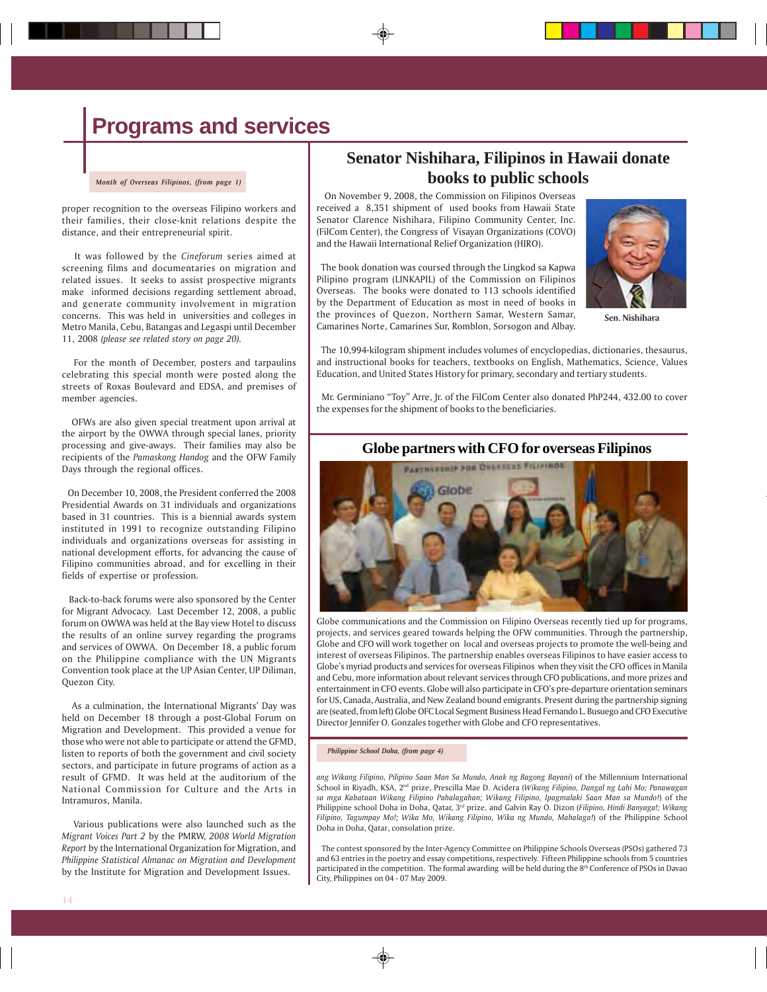# **Programs and services**

*Month of Overseas Filipinos, (from page 1)*

proper recognition to the overseas Filipino workers and their families, their close-knit relations despite the distance, and their entrepreneurial spirit.

 It was followed by the *Cineforum* series aimed at screening films and documentaries on migration and related issues. It seeks to assist prospective migrants make informed decisions regarding settlement abroad, and generate community involvement in migration concerns. This was held in universities and colleges in Metro Manila, Cebu, Batangas and Legaspi until December 11, 2008 *(please see related story on page 20).*

 For the month of December, posters and tarpaulins celebrating this special month were posted along the streets of Roxas Boulevard and EDSA, and premises of member agencies.

 OFWs are also given special treatment upon arrival at the airport by the OWWA through special lanes, priority processing and give-aways. Their families may also be recipients of the *Pamaskong Handog* and the OFW Family Days through the regional offices.

 On December 10, 2008, the President conferred the 2008 Presidential Awards on 31 individuals and organizations based in 31 countries. This is a biennial awards system instituted in 1991 to recognize outstanding Filipino individuals and organizations overseas for assisting in national development efforts, for advancing the cause of Filipino communities abroad, and for excelling in their fields of expertise or profession.

 Back-to-back forums were also sponsored by the Center for Migrant Advocacy. Last December 12, 2008, a public forum on OWWA was held at the Bay view Hotel to discuss the results of an online survey regarding the programs and services of OWWA. On December 18, a public forum on the Philippine compliance with the UN Migrants Convention took place at the UP Asian Center, UP Diliman, Quezon City.

 As a culmination, the International Migrants' Day was held on December 18 through a post-Global Forum on Migration and Development. This provided a venue for those who were not able to participate or attend the GFMD, listen to reports of both the government and civil society sectors, and participate in future programs of action as a result of GFMD. It was held at the auditorium of the National Commission for Culture and the Arts in Intramuros, Manila.

 Various publications were also launched such as the *Migrant Voices Part 2* by the PMRW, *2008 World Migration Report* by the International Organization for Migration, and *Philippine Statistical Almanac on Migration and Development* by the Institute for Migration and Development Issues.

### **Senator Nishihara, Filipinos in Hawaii donate books to public schools**

 On November 9, 2008, the Commission on Filipinos Overseas received a 8,351 shipment of used books from Hawaii State Senator Clarence Nishihara, Filipino Community Center, Inc. (FilCom Center), the Congress of Visayan Organizations (COVO) and the Hawaii International Relief Organization (HIRO).

 The book donation was coursed through the Lingkod sa Kapwa Pilipino program (LINKAPIL) of the Commission on Filipinos Overseas. The books were donated to 113 schools identified by the Department of Education as most in need of books in the provinces of Quezon, Northern Samar, Western Samar, Camarines Norte, Camarines Sur, Romblon, Sorsogon and Albay.



**Sen. Nishihara**

 The 10,994-kilogram shipment includes volumes of encyclopedias, dictionaries, thesaurus, and instructional books for teachers, textbooks on English, Mathematics, Science, Values Education, and United States History for primary, secondary and tertiary students.

 Mr. Germiniano "Toy" Arre, Jr. of the FilCom Center also donated PhP244, 432.00 to cover the expenses for the shipment of books to the beneficiaries.

#### **Globe partners with CFO for overseas Filipinos**



Globe communications and the Commission on Filipino Overseas recently tied up for programs, projects, and services geared towards helping the OFW communities. Through the partnership, Globe and CFO will work together on local and overseas projects to promote the well-being and interest of overseas Filipinos. The partnership enables overseas Filipinos to have easier access to Globe's myriad products and services for overseas Filipinos when they visit the CFO offices in Manila and Cebu, more information about relevant services through CFO publications, and more prizes and entertainment in CFO events. Globe will also participate in CFO's pre-departure orientation seminars for US, Canada, Australia, and New Zealand bound emigrants. Present during the partnership signing are (seated, from left) Globe OFC Local Segment Business Head Fernando L. Busuego and CFO Executive Director Jennifer O. Gonzales together with Globe and CFO representatives.

#### *Philippine School Doha, (from page 4)*

*ang Wikang Filipino, Pilipino Saan Man Sa Mundo, Anak ng Bagong Bayani*) of the Millennium International School in Riyadh, KSA, 2nd prize, Prescilla Mae D. Acidera (*Wikang Filipino, Dangal ng Lahi Mo; Panawagan sa mga Kabataan Wikang Filipino Pahalagahan; Wikang Filipino, Ipagmalaki Saan Man sa Mundo!*) of the Philippine school Doha in Doha, Qatar, 3rd prize, and Galvin Ray O. Dizon (*Filipino, Hindi Banyaga!; Wikang Filipino, Tagumpay Mo!; Wika Mo, Wikang Filipino, Wika ng Mundo, Mahalaga!*) of the Philippine School Doha in Doha, Qatar, consolation prize.

 The contest sponsored by the Inter-Agency Committee on Philippine Schools Overseas (PSOs) gathered 73 and 63 entries in the poetry and essay competitions, respectively. Fifteen Philippine schools from 5 countries participated in the competition. The formal awarding will be held during the 8<sup>th</sup> Conference of PSOs in Davao City, Philippines on 04 - 07 May 2009.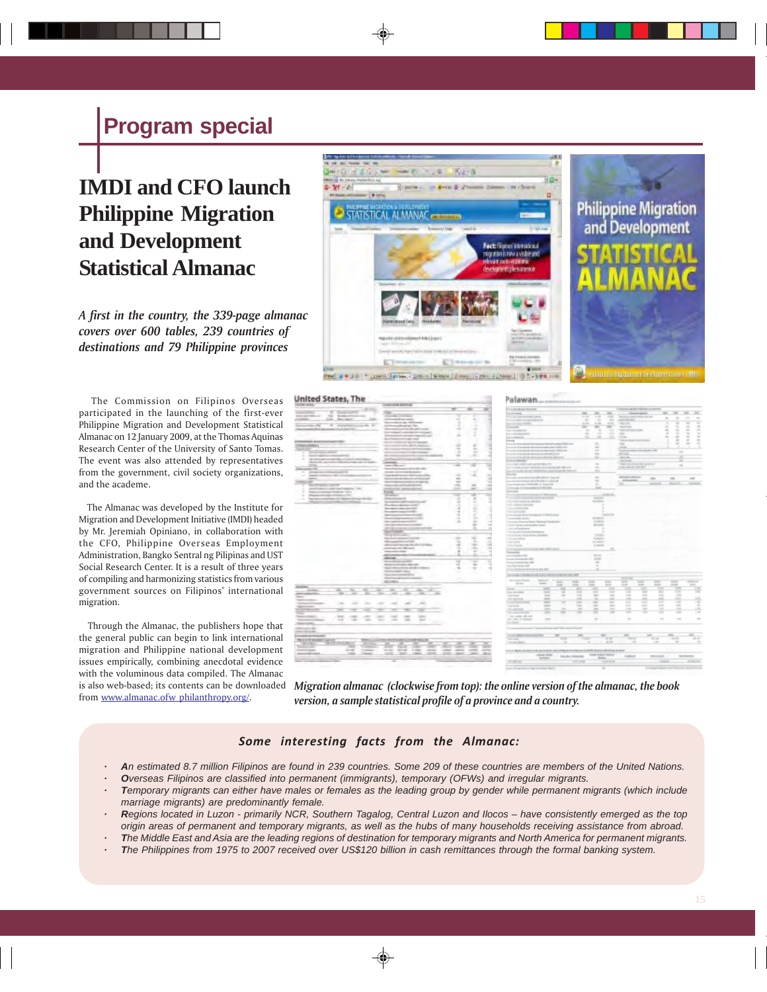# **IMDI and CFO launch Philippine Migration and Development Statistical Almanac**

*A first in the country, the 339-page almanac covers over 600 tables, 239 countries of destinations and 79 Philippine provinces*

 The Commission on Filipinos Overseas participated in the launching of the first-ever Philippine Migration and Development Statistical Almanac on 12 January 2009, at the Thomas Aquinas Research Center of the University of Santo Tomas. The event was also attended by representatives from the government, civil society organizations, and the academe.

 The Almanac was developed by the Institute for Migration and Development Initiative (IMDI) headed by Mr. Jeremiah Opiniano, in collaboration with the CFO, Philippine Overseas Employment Administration, Bangko Sentral ng Pilipinas and UST Social Research Center. It is a result of three years of compiling and harmonizing statistics from various government sources on Filipinos' international migration.

 Through the Almanac, the publishers hope that the general public can begin to link international migration and Philippine national development issues empirically, combining anecdotal evidence with the voluminous data compiled. The Almanac is also web-based; its contents can be downloaded from www.almanac.ofw philanthropy.org/.



#### United States, The



*Migration almanac (clockwise from top): the online version of the almanac, the book version, a sample statistical profile of a province and a country.*

#### *Some interesting facts from the Almanac:*

- *· An estimated 8.7 million Filipinos are found in 239 countries. Some 209 of these countries are members of the United Nations.*
- *· Overseas Filipinos are classified into permanent (immigrants), temporary (OFWs) and irregular migrants.*
- *· Temporary migrants can either have males or females as the leading group by gender while permanent migrants (which include marriage migrants) are predominantly female.*
- *· Regions located in Luzon primarily NCR, Southern Tagalog, Central Luzon and Ilocos have consistently emerged as the top origin areas of permanent and temporary migrants, as well as the hubs of many households receiving assistance from abroad.*
- *· The Middle East and Asia are the leading regions of destination for temporary migrants and North America for permanent migrants.*
- *· The Philippines from 1975 to 2007 received over US\$120 billion in cash remittances through the formal banking system.*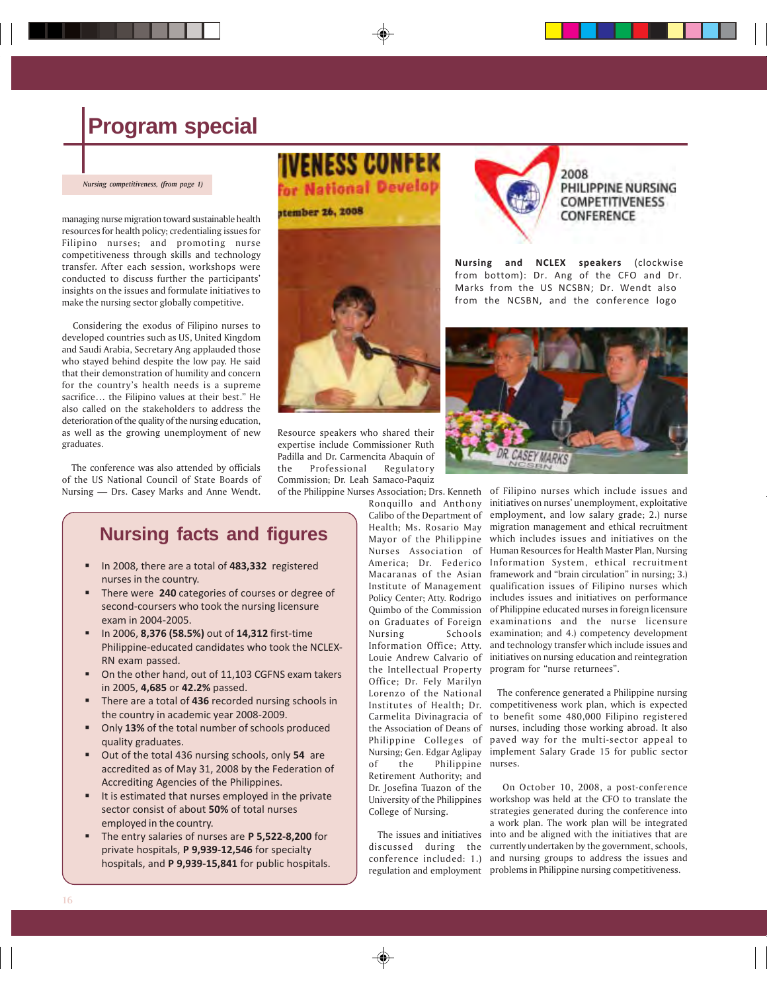*Nursing competitiveness, (from page 1)*

managing nurse migration toward sustainable health resources for health policy; credentialing issues for Filipino nurses; and promoting nurse competitiveness through skills and technology transfer. After each session, workshops were conducted to discuss further the participants' insights on the issues and formulate initiatives to make the nursing sector globally competitive**.**

 Considering the exodus of Filipino nurses to developed countries such as US, United Kingdom and Saudi Arabia, Secretary Ang applauded those who stayed behind despite the low pay. He said that their demonstration of humility and concern for the country's health needs is a supreme sacrifice… the Filipino values at their best." He also called on the stakeholders to address the deterioration of the quality of the nursing education, as well as the growing unemployment of new graduates.

 The conference was also attended by officials of the US National Council of State Boards of Nursing — Drs. Casey Marks and Anne Wendt.

# **IVENESS CONFEK** for National Develop



Resource speakers who shared their expertise include Commissioner Ruth Padilla and Dr. Carmencita Abaquin of the Professional Regulatory Commission; Dr. Leah Samaco-Paquiz of the Philippine Nurses Association; Drs. Kenneth

#### 2008 PHILIPPINE NURSING **COMPETITIVENESS** CONFERENCE

**Nursing and NCLEX speakers** (clockwise from bottom): Dr. Ang of the CFO and Dr. Marks from the US NCSBN; Dr. Wendt also from the NCSBN, and the conference logo



**Nursing facts and figures**

- In 2008, there are a total of **483,332** registered nurses in the country.
- There were **240** categories of courses or degree of second-coursers who took the nursing licensure exam in 2004-2005.
- In 2006, **8,376 (58.5%)** out of **14,312** first-time Philippine-educated candidates who took the NCLEX-RN exam passed.
- On the other hand, out of 11,103 CGFNS exam takers in 2005, **4,685** or **42.2%** passed.
- There are a total of **436** recorded nursing schools in the country in academic year 2008-2009.
- Only **13%** of the total number of schools produced quality graduates.
- Out of the total 436 nursing schools, only **54** are accredited as of May 31, 2008 by the Federation of Accrediting Agencies of the Philippines.
- It is estimated that nurses employed in the private sector consist of about **50%** of total nurses employed in the country.
- The entry salaries of nurses are **P 5,522-8,200** for private hospitals, **P 9,939-12,546** for specialty hospitals, and **P 9,939-15,841** for public hospitals.

Ronquillo and Anthony Calibo of the Department of Health; Ms. Rosario May Mayor of the Philippine Nurses Association of America; Dr. Federico Macaranas of the Asian Institute of Management Policy Center; Atty. Rodrigo on Graduates of Foreign Nursing Information Office; Atty. Louie Andrew Calvario of the Intellectual Property program for "nurse returnees". Office; Dr. Fely Marilyn Lorenzo of the National Carmelita Divinagracia of the Association of Deans of Philippine Colleges of Nursing; Gen. Edgar Aglipay of the Philippine Retirement Authority; and Dr. Josefina Tuazon of the

 The issues and initiatives discussed during the conference included: 1.)

College of Nursing.

Quimbo of the Commission of Philippine educated nurses in foreign licensure of Filipino nurses which include issues and initiatives on nurses' unemployment, exploitative employment, and low salary grade; 2.) nurse migration management and ethical recruitment which includes issues and initiatives on the Human Resources for Health Master Plan, Nursing Information System, ethical recruitment framework and "brain circulation" in nursing; 3.) qualification issues of Filipino nurses which includes issues and initiatives on performance examinations and the nurse licensure Schools examination; and 4.) competency development and technology transfer which include issues and initiatives on nursing education and reintegration

Institutes of Health; Dr. competitiveness work plan, which is expected The conference generated a Philippine nursing to benefit some 480,000 Filipino registered nurses, including those working abroad. It also paved way for the multi-sector appeal to implement Salary Grade 15 for public sector nurses.

University of the Philippines workshop was held at the CFO to translate the regulation and employment problems in Philippine nursing competitiveness. On October 10, 2008, a post-conference strategies generated during the conference into a work plan. The work plan will be integrated into and be aligned with the initiatives that are currently undertaken by the government, schools, and nursing groups to address the issues and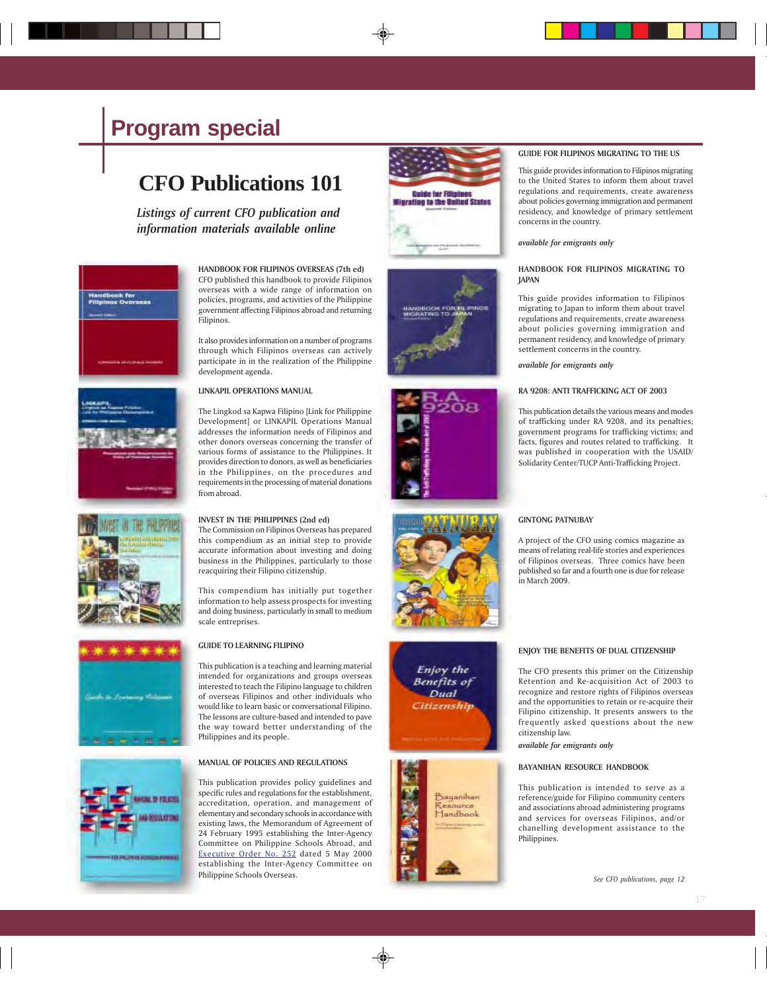# **CFO Publications 101**

*Listings of current CFO publication and information materials available online*



**HANDBOOK FOR FILIPINOS OVERSEAS (7th ed)** CFO published this handbook to provide Filipinos overseas with a wide range of information on policies, programs, and activities of the Philippine government affecting Filipinos abroad and returning Filipinos.

It also provides information on a number of programs through which Filipinos overseas can actively participate in in the realization of the Philippine development agenda.

#### **LINKAPIL OPERATIONS MANUAL**

The Lingkod sa Kapwa Filipino [Link for Philippine Development] or LINKAPIL Operations Manual addresses the information needs of Filipinos and other donors overseas concerning the transfer of various forms of assistance to the Philippines. It provides direction to donors, as well as beneficiaries in the Philippines, on the procedures and requirements in the processing of material donations from abroad.

#### **INVEST IN THE PHILIPPINES (2nd ed)**

The Commission on Filipinos Overseas has prepared this compendium as an initial step to provide accurate information about investing and doing business in the Philippines, particularly to those reacquiring their Filipino citizenship.

This compendium has initially put together information to help assess prospects for investing and doing business, particularly in small to medium scale entreprises.



#### **GUIDE TO LEARNING FILIPINO**

This publication is a teaching and learning material intended for organizations and groups overseas interested to teach the Filipino language to children of overseas Filipinos and other individuals who would like to learn basic or conversational Filipino. The lessons are culture-based and intended to pave the way toward better understanding of the Philippines and its people.

#### **MANUAL OF POLICIES AND REGULATIONS**

This publication provides policy guidelines and specific rules and regulations for the establishment, accreditation, operation, and management of elementary and secondary schools in accordance with existing laws, the Memorandum of Agreement of 24 February 1995 establishing the Inter-Agency Committee on Philippine Schools Abroad, and Executive Order No. 252 dated 5 May 2000 establishing the Inter-Agency Committee on Philippine Schools Overseas.













#### **GUIDE FOR FILIPINOS MIGRATING TO THE US**

This guide provides information to Filipinos migrating to the United States to inform them about travel regulations and requirements, create awareness about policies governing immigration and permanent residency, and knowledge of primary settlement concerns in the country.

#### *available for emigrants only*

#### **HANDBOOK FOR FILIPINOS MIGRATING TO JAPAN**

This guide provides information to Filipinos migrating to Japan to inform them about travel regulations and requirements, create awareness about policies governing immigration and permanent residency, and knowledge of primary settlement concerns in the country.

*available for emigrants only*

#### **RA 9208: ANTI TRAFFICKING ACT OF 2003**

This publication details the various means and modes of trafficking under RA 9208, and its penalties; government programs for trafficking victims; and facts, figures and routes related to trafficking. It was published in cooperation with the USAID/ Solidarity Center/TUCP Anti-Trafficking Project.

#### **GINTONG PATNUBAY**

A project of the CFO using comics magazine as means of relating real-life stories and experiences of Filipinos overseas. Three comics have been published so far and a fourth one is due for release in March 2009.



The CFO presents this primer on the Citizenship Retention and Re-acquisition Act of 2003 to recognize and restore rights of Filipinos overseas and the opportunities to retain or re-acquire their Filipino citizenship. It presents answers to the frequently asked questions about the new citizenship law.

*available for emigrants only*

#### **BAYANIHAN RESOURCE HANDBOOK**

This publication is intended to serve as a reference/guide for Filipino community centers and associations abroad administering programs and services for overseas Filipinos, and/or chanelling development assistance to the Philippines.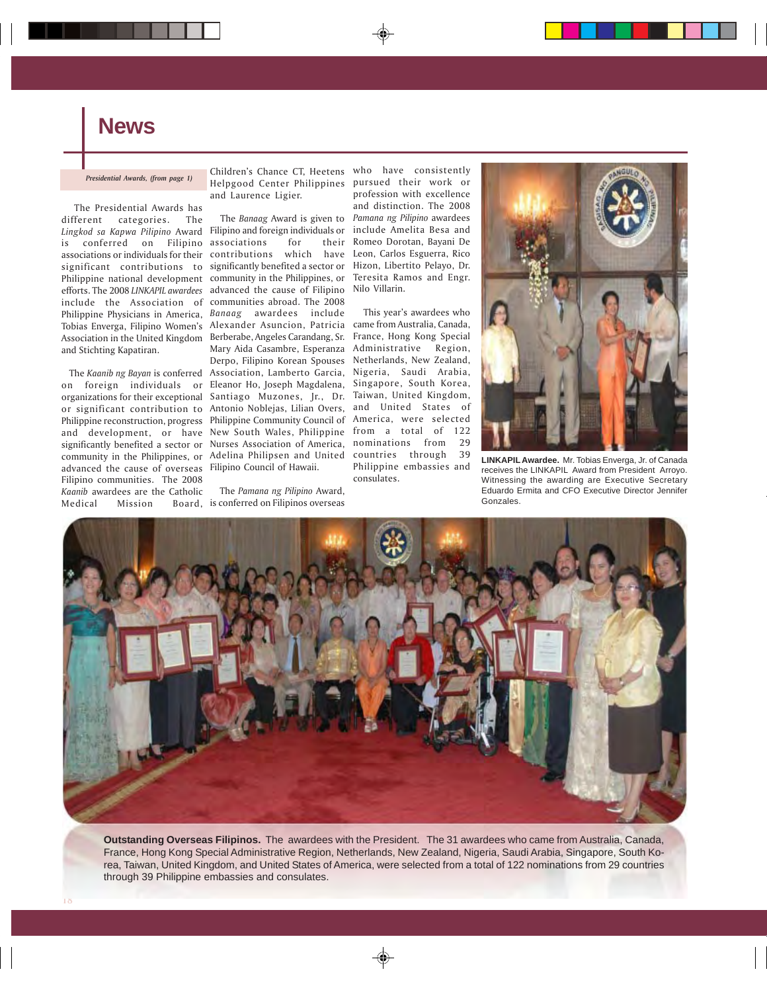## **News**

#### *Presidential Awards, (from page 1)*

 The Presidential Awards has different categories. The *Lingkod sa Kapwa Pilipino* Award Filipino and foreign individuals or is conferred on Filipino associations or individuals for their significant contributions to Philippine national development efforts. The 2008 *LINKAPIL awardees* include the Association of communities abroad. The 2008 Philippine Physicians in America, *Banaag* awardees include Tobias Enverga, Filipino Women's Alexander Asuncion, Patricia Association in the United Kingdom Berberabe, Angeles Carandang, Sr. and Stichting Kapatiran.

on foreign individuals or organizations for their exceptional or significant contribution to Philippine reconstruction, progress Philippine Community Council of and development, or have New South Wales, Philippine significantly benefited a sector or community in the Philippines, or Adelina Philipsen and United advanced the cause of overseas Filipino Council of Hawaii. Filipino communities. The 2008 *Kaanib* awardees are the Catholic Medical Mission

Children's Chance CT, Heetens who have consistently Helpgood Center Philippines pursued their work or and Laurence Ligier.

 The *Kaanib ng Bayan* is conferred Association, Lamberto Garcia, The *Banaag* Award is given to *Pamana ng Pilipino* awardees associations for their contributions which have significantly benefited a sector or community in the Philippines, or advanced the cause of Filipino Mary Aida Casambre, Esperanza Derpo, Filipino Korean Spouses Eleanor Ho, Joseph Magdalena, Santiago Muzones, Jr., Dr. Antonio Noblejas, Lilian Overs, Nurses Association of America,

> The *Pamana ng Pilipino* Award, Board, is conferred on Filipinos overseas

profession with excellence and distinction. The 2008 include Amelita Besa and Romeo Dorotan, Bayani De Leon, Carlos Esguerra, Rico Hizon, Libertito Pelayo, Dr. Teresita Ramos and Engr. Nilo Villarin.

 This year's awardees who came from Australia, Canada, France, Hong Kong Special Administrative Region, Netherlands, New Zealand, Nigeria, Saudi Arabia, Singapore, South Korea, Taiwan, United Kingdom, and United States of America, were selected from a total of 122 nominations from 29 countries through 39 Philippine embassies and consulates.



**LINKAPIL Awardee.** Mr. Tobias Enverga, Jr. of Canada receives the LINKAPIL Award from President Arroyo. Witnessing the awarding are Executive Secretary Eduardo Ermita and CFO Executive Director Jennifer Gonzales.



**Outstanding Overseas Filipinos.** The awardees with the President. The 31 awardees who came from Australia, Canada, France, Hong Kong Special Administrative Region, Netherlands, New Zealand, Nigeria, Saudi Arabia, Singapore, South Korea, Taiwan, United Kingdom, and United States of America, were selected from a total of 122 nominations from 29 countries through 39 Philippine embassies and consulates.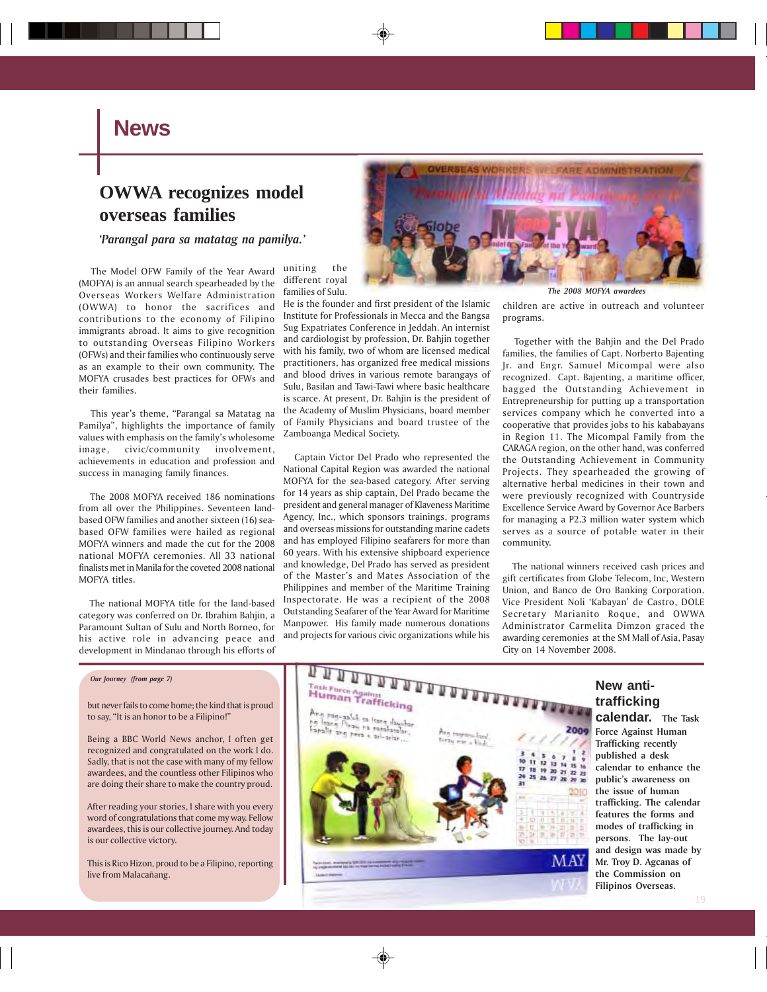### **News**

### **OWWA recognizes model overseas families**

*'Parangal para sa matatag na pamilya.'*

 The Model OFW Family of the Year Award (MOFYA) is an annual search spearheaded by the Overseas Workers Welfare Administration (OWWA) to honor the sacrifices and contributions to the economy of Filipino immigrants abroad. It aims to give recognition to outstanding Overseas Filipino Workers (OFWs) and their families who continuously serve as an example to their own community. The MOFYA crusades best practices for OFWs and their families.

 This year's theme, "Parangal sa Matatag na Pamilya", highlights the importance of family values with emphasis on the family's wholesome image, civic/community involvement, achievements in education and profession and success in managing family finances.

 The 2008 MOFYA received 186 nominations from all over the Philippines. Seventeen landbased OFW families and another sixteen (16) seabased OFW families were hailed as regional MOFYA winners and made the cut for the 2008 national MOFYA ceremonies. All 33 national finalists met in Manila for the coveted 2008 national MOFYA titles.

 The national MOFYA title for the land-based category was conferred on Dr. Ibrahim Bahjin, a Paramount Sultan of Sulu and North Borneo, for his active role in advancing peace and development in Mindanao through his efforts of uniting the different royal families of Sulu.

He is the founder and first president of the Islamic Institute for Professionals in Mecca and the Bangsa Sug Expatriates Conference in Jeddah. An internist and cardiologist by profession, Dr. Bahjin together with his family, two of whom are licensed medical practitioners, has organized free medical missions and blood drives in various remote barangays of Sulu, Basilan and Tawi-Tawi where basic healthcare is scarce. At present, Dr. Bahjin is the president of the Academy of Muslim Physicians, board member of Family Physicians and board trustee of the Zamboanga Medical Society.

 Captain Victor Del Prado who represented the National Capital Region was awarded the national MOFYA for the sea-based category. After serving for 14 years as ship captain, Del Prado became the president and general manager of Klaveness Maritime Agency, Inc., which sponsors trainings, programs and overseas missions for outstanding marine cadets and has employed Filipino seafarers for more than 60 years. With his extensive shipboard experience and knowledge, Del Prado has served as president of the Master's and Mates Association of the Philippines and member of the Maritime Training Inspectorate. He was a recipient of the 2008 Outstanding Seafarer of the Year Award for Maritime Manpower. His family made numerous donations and projects for various civic organizations while his



children are active in outreach and volunteer programs.

 Together with the Bahjin and the Del Prado families, the families of Capt. Norberto Bajenting Jr. and Engr. Samuel Micompal were also recognized. Capt. Bajenting, a maritime officer, bagged the Outstanding Achievement in Entrepreneurship for putting up a transportation services company which he converted into a cooperative that provides jobs to his kababayans in Region 11. The Micompal Family from the CARAGA region, on the other hand, was conferred the Outstanding Achievement in Community Projects. They spearheaded the growing of alternative herbal medicines in their town and were previously recognized with Countryside Excellence Service Award by Governor Ace Barbers for managing a P2.3 million water system which serves as a source of potable water in their community.

 The national winners received cash prices and gift certificates from Globe Telecom, Inc, Western Union, and Banco de Oro Banking Corporation. Vice President Noli 'Kabayan' de Castro, DOLE Secretary Marianito Roque, and OWWA Administrator Carmelita Dimzon graced the awarding ceremonies at the SM Mall of Asia, Pasay City on 14 November 2008.

but never fails to come home; the kind that is proud to say, "It is an honor to be a Filipino!"

Being a BBC World News anchor, I often get recognized and congratulated on the work I do. Sadly, that is not the case with many of my fellow awardees, and the countless other Filipinos who are doing their share to make the country proud.

After reading your stories, I share with you every word of congratulations that come my way. Fellow awardees, this is our collective journey. And today is our collective victory.

This is Rico Hizon, proud to be a Filipino, reporting live from Malacañang.



# **trafficking**

**calendar. The Task Force Against Human Trafficking recently published a desk calendar to enhance the public's awareness on the issue of human trafficking. The calendar features the forms and modes of trafficking in persons. The lay-out and design was made by Mr. Troy D. Agcanas of the Commission on Filipinos Overseas.**